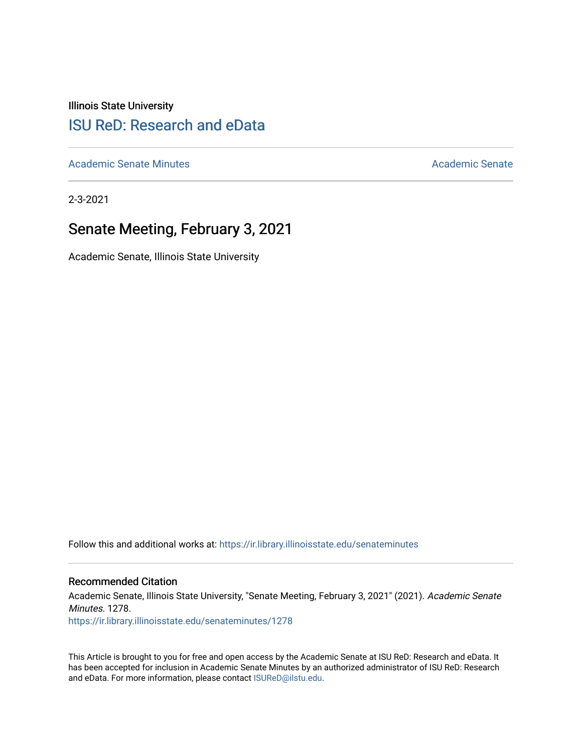Illinois State University

# [ISU ReD: Research and eData](https://ir.library.illinoisstate.edu/)

[Academic Senate Minutes](https://ir.library.illinoisstate.edu/senateminutes) [Academic Senate](https://ir.library.illinoisstate.edu/senate) Academic Senate

2-3-2021

## Senate Meeting, February 3, 2021

Academic Senate, Illinois State University

Follow this and additional works at: [https://ir.library.illinoisstate.edu/senateminutes](https://ir.library.illinoisstate.edu/senateminutes?utm_source=ir.library.illinoisstate.edu%2Fsenateminutes%2F1278&utm_medium=PDF&utm_campaign=PDFCoverPages) 

#### Recommended Citation

Academic Senate, Illinois State University, "Senate Meeting, February 3, 2021" (2021). Academic Senate Minutes. 1278. [https://ir.library.illinoisstate.edu/senateminutes/1278](https://ir.library.illinoisstate.edu/senateminutes/1278?utm_source=ir.library.illinoisstate.edu%2Fsenateminutes%2F1278&utm_medium=PDF&utm_campaign=PDFCoverPages)

This Article is brought to you for free and open access by the Academic Senate at ISU ReD: Research and eData. It has been accepted for inclusion in Academic Senate Minutes by an authorized administrator of ISU ReD: Research and eData. For more information, please contact [ISUReD@ilstu.edu.](mailto:ISUReD@ilstu.edu)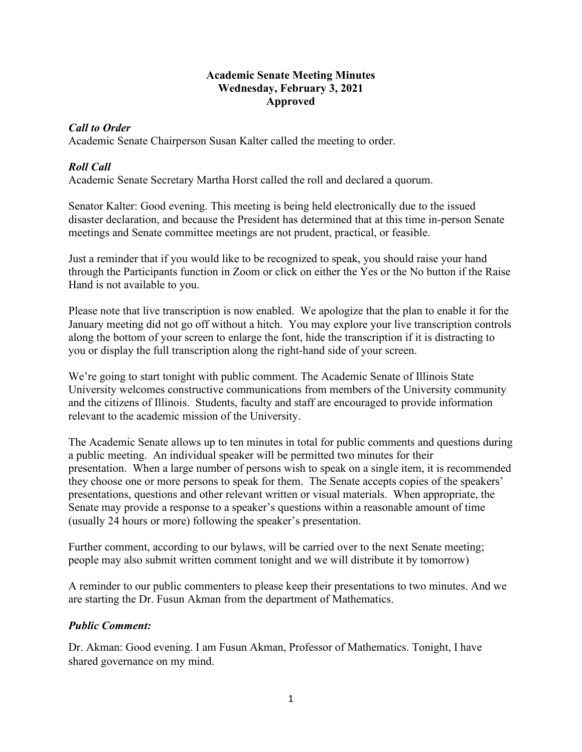#### **Academic Senate Meeting Minutes Wednesday, February 3, 2021 Approved**

## *Call to Order*

Academic Senate Chairperson Susan Kalter called the meeting to order.

## *Roll Call*

Academic Senate Secretary Martha Horst called the roll and declared a quorum.

Senator Kalter: Good evening. This meeting is being held electronically due to the issued disaster declaration, and because the President has determined that at this time in-person Senate meetings and Senate committee meetings are not prudent, practical, or feasible.

Just a reminder that if you would like to be recognized to speak, you should raise your hand through the Participants function in Zoom or click on either the Yes or the No button if the Raise Hand is not available to you.

Please note that live transcription is now enabled. We apologize that the plan to enable it for the January meeting did not go off without a hitch. You may explore your live transcription controls along the bottom of your screen to enlarge the font, hide the transcription if it is distracting to you or display the full transcription along the right-hand side of your screen.

We're going to start tonight with public comment. The Academic Senate of Illinois State University welcomes constructive communications from members of the University community and the citizens of Illinois. Students, faculty and staff are encouraged to provide information relevant to the academic mission of the University.

The Academic Senate allows up to ten minutes in total for public comments and questions during a public meeting. An individual speaker will be permitted two minutes for their presentation. When a large number of persons wish to speak on a single item, it is recommended they choose one or more persons to speak for them. The Senate accepts copies of the speakers' presentations, questions and other relevant written or visual materials. When appropriate, the Senate may provide a response to a speaker's questions within a reasonable amount of time (usually 24 hours or more) following the speaker's presentation.

Further comment, according to our bylaws, will be carried over to the next Senate meeting; people may also submit written comment tonight and we will distribute it by tomorrow)

A reminder to our public commenters to please keep their presentations to two minutes. And we are starting the Dr. Fusun Akman from the department of Mathematics.

## *Public Comment:*

Dr. Akman: Good evening. I am Fusun Akman, Professor of Mathematics. Tonight, I have shared governance on my mind.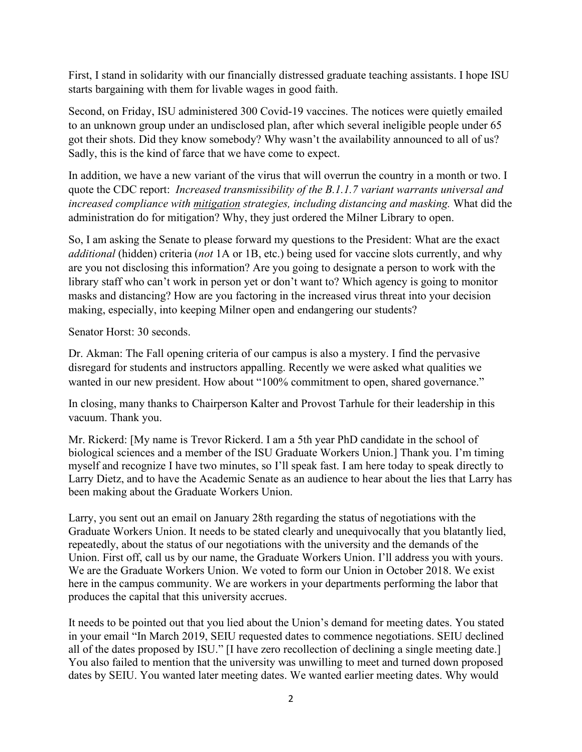First, I stand in solidarity with our financially distressed graduate teaching assistants. I hope ISU starts bargaining with them for livable wages in good faith.

Second, on Friday, ISU administered 300 Covid-19 vaccines. The notices were quietly emailed to an unknown group under an undisclosed plan, after which several ineligible people under 65 got their shots. Did they know somebody? Why wasn't the availability announced to all of us? Sadly, this is the kind of farce that we have come to expect.

In addition, we have a new variant of the virus that will overrun the country in a month or two. I quote the CDC report: *Increased transmissibility of the B.1.1.7 variant warrants universal and increased compliance with mitigation strategies, including distancing and masking.* What did the administration do for mitigation? Why, they just ordered the Milner Library to open.

So, I am asking the Senate to please forward my questions to the President: What are the exact *additional* (hidden) criteria (*not* 1A or 1B, etc.) being used for vaccine slots currently, and why are you not disclosing this information? Are you going to designate a person to work with the library staff who can't work in person yet or don't want to? Which agency is going to monitor masks and distancing? How are you factoring in the increased virus threat into your decision making, especially, into keeping Milner open and endangering our students?

Senator Horst: 30 seconds.

Dr. Akman: The Fall opening criteria of our campus is also a mystery. I find the pervasive disregard for students and instructors appalling. Recently we were asked what qualities we wanted in our new president. How about "100% commitment to open, shared governance."

In closing, many thanks to Chairperson Kalter and Provost Tarhule for their leadership in this vacuum. Thank you.

Mr. Rickerd: [My name is Trevor Rickerd. I am a 5th year PhD candidate in the school of biological sciences and a member of the ISU Graduate Workers Union.] Thank you. I'm timing myself and recognize I have two minutes, so I'll speak fast. I am here today to speak directly to Larry Dietz, and to have the Academic Senate as an audience to hear about the lies that Larry has been making about the Graduate Workers Union.

Larry, you sent out an email on January 28th regarding the status of negotiations with the Graduate Workers Union. It needs to be stated clearly and unequivocally that you blatantly lied, repeatedly, about the status of our negotiations with the university and the demands of the Union. First off, call us by our name, the Graduate Workers Union. I'll address you with yours. We are the Graduate Workers Union. We voted to form our Union in October 2018. We exist here in the campus community. We are workers in your departments performing the labor that produces the capital that this university accrues.

It needs to be pointed out that you lied about the Union's demand for meeting dates. You stated in your email "In March 2019, SEIU requested dates to commence negotiations. SEIU declined all of the dates proposed by ISU." [I have zero recollection of declining a single meeting date.] You also failed to mention that the university was unwilling to meet and turned down proposed dates by SEIU. You wanted later meeting dates. We wanted earlier meeting dates. Why would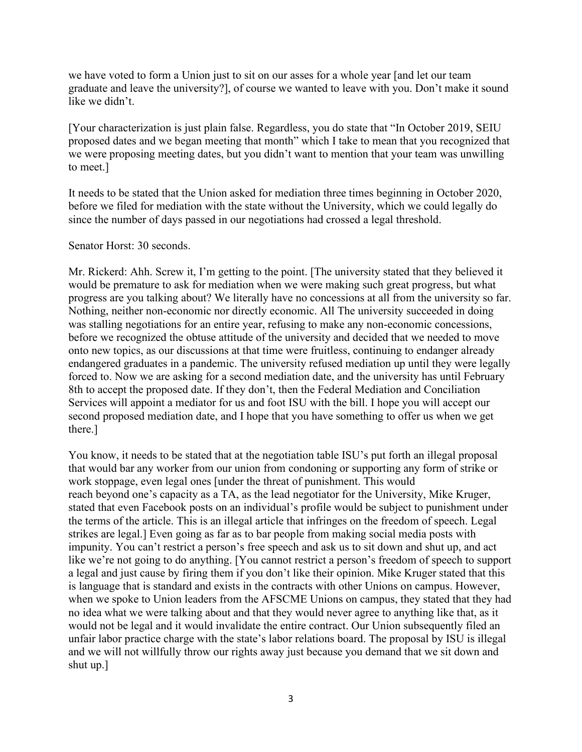we have voted to form a Union just to sit on our asses for a whole year [and let our team graduate and leave the university?], of course we wanted to leave with you. Don't make it sound like we didn't.

[Your characterization is just plain false. Regardless, you do state that "In October 2019, SEIU proposed dates and we began meeting that month" which I take to mean that you recognized that we were proposing meeting dates, but you didn't want to mention that your team was unwilling to meet.]

It needs to be stated that the Union asked for mediation three times beginning in October 2020, before we filed for mediation with the state without the University, which we could legally do since the number of days passed in our negotiations had crossed a legal threshold.

Senator Horst: 30 seconds.

Mr. Rickerd: Ahh. Screw it, I'm getting to the point. [The university stated that they believed it would be premature to ask for mediation when we were making such great progress, but what progress are you talking about? We literally have no concessions at all from the university so far. Nothing, neither non-economic nor directly economic. All The university succeeded in doing was stalling negotiations for an entire year, refusing to make any non-economic concessions, before we recognized the obtuse attitude of the university and decided that we needed to move onto new topics, as our discussions at that time were fruitless, continuing to endanger already endangered graduates in a pandemic. The university refused mediation up until they were legally forced to. Now we are asking for a second mediation date, and the university has until February 8th to accept the proposed date. If they don't, then the Federal Mediation and Conciliation Services will appoint a mediator for us and foot ISU with the bill. I hope you will accept our second proposed mediation date, and I hope that you have something to offer us when we get there.]

You know, it needs to be stated that at the negotiation table ISU's put forth an illegal proposal that would bar any worker from our union from condoning or supporting any form of strike or work stoppage, even legal ones [under the threat of punishment. This would reach beyond one's capacity as a TA, as the lead negotiator for the University, Mike Kruger, stated that even Facebook posts on an individual's profile would be subject to punishment under the terms of the article. This is an illegal article that infringes on the freedom of speech. Legal strikes are legal.] Even going as far as to bar people from making social media posts with impunity. You can't restrict a person's free speech and ask us to sit down and shut up, and act like we're not going to do anything. [You cannot restrict a person's freedom of speech to support a legal and just cause by firing them if you don't like their opinion. Mike Kruger stated that this is language that is standard and exists in the contracts with other Unions on campus. However, when we spoke to Union leaders from the AFSCME Unions on campus, they stated that they had no idea what we were talking about and that they would never agree to anything like that, as it would not be legal and it would invalidate the entire contract. Our Union subsequently filed an unfair labor practice charge with the state's labor relations board. The proposal by ISU is illegal and we will not willfully throw our rights away just because you demand that we sit down and shut up.]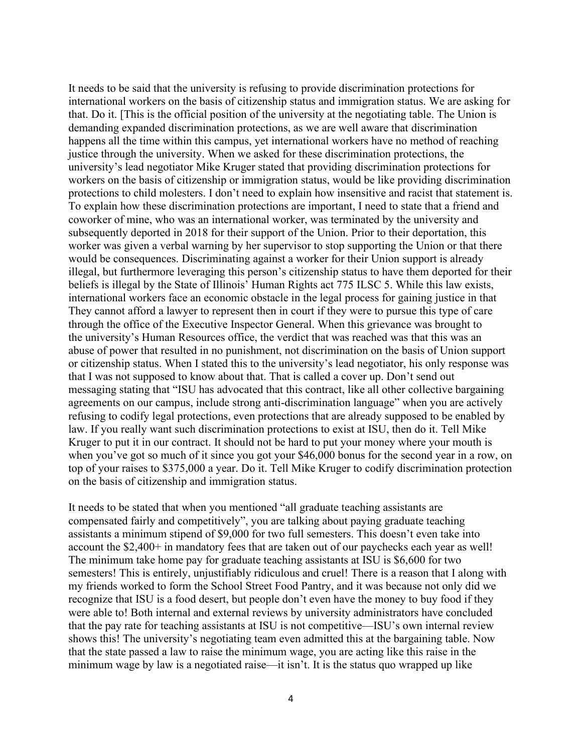It needs to be said that the university is refusing to provide discrimination protections for international workers on the basis of citizenship status and immigration status. We are asking for that. Do it. [This is the official position of the university at the negotiating table. The Union is demanding expanded discrimination protections, as we are well aware that discrimination happens all the time within this campus, yet international workers have no method of reaching justice through the university. When we asked for these discrimination protections, the university's lead negotiator Mike Kruger stated that providing discrimination protections for workers on the basis of citizenship or immigration status, would be like providing discrimination protections to child molesters. I don't need to explain how insensitive and racist that statement is. To explain how these discrimination protections are important, I need to state that a friend and coworker of mine, who was an international worker, was terminated by the university and subsequently deported in 2018 for their support of the Union. Prior to their deportation, this worker was given a verbal warning by her supervisor to stop supporting the Union or that there would be consequences. Discriminating against a worker for their Union support is already illegal, but furthermore leveraging this person's citizenship status to have them deported for their beliefs is illegal by the State of Illinois' Human Rights act 775 ILSC 5. While this law exists, international workers face an economic obstacle in the legal process for gaining justice in that They cannot afford a lawyer to represent then in court if they were to pursue this type of care through the office of the Executive Inspector General. When this grievance was brought to the university's Human Resources office, the verdict that was reached was that this was an abuse of power that resulted in no punishment, not discrimination on the basis of Union support or citizenship status. When I stated this to the university's lead negotiator, his only response was that I was not supposed to know about that. That is called a cover up. Don't send out messaging stating that "ISU has advocated that this contract, like all other collective bargaining agreements on our campus, include strong anti-discrimination language" when you are actively refusing to codify legal protections, even protections that are already supposed to be enabled by law. If you really want such discrimination protections to exist at ISU, then do it. Tell Mike Kruger to put it in our contract. It should not be hard to put your money where your mouth is when you've got so much of it since you got your \$46,000 bonus for the second year in a row, on top of your raises to \$375,000 a year. Do it. Tell Mike Kruger to codify discrimination protection on the basis of citizenship and immigration status.

It needs to be stated that when you mentioned "all graduate teaching assistants are compensated fairly and competitively", you are talking about paying graduate teaching assistants a minimum stipend of \$9,000 for two full semesters. This doesn't even take into account the \$2,400+ in mandatory fees that are taken out of our paychecks each year as well! The minimum take home pay for graduate teaching assistants at ISU is \$6,600 for two semesters! This is entirely, unjustifiably ridiculous and cruel! There is a reason that I along with my friends worked to form the School Street Food Pantry, and it was because not only did we recognize that ISU is a food desert, but people don't even have the money to buy food if they were able to! Both internal and external reviews by university administrators have concluded that the pay rate for teaching assistants at ISU is not competitive—ISU's own internal review shows this! The university's negotiating team even admitted this at the bargaining table. Now that the state passed a law to raise the minimum wage, you are acting like this raise in the minimum wage by law is a negotiated raise—it isn't. It is the status quo wrapped up like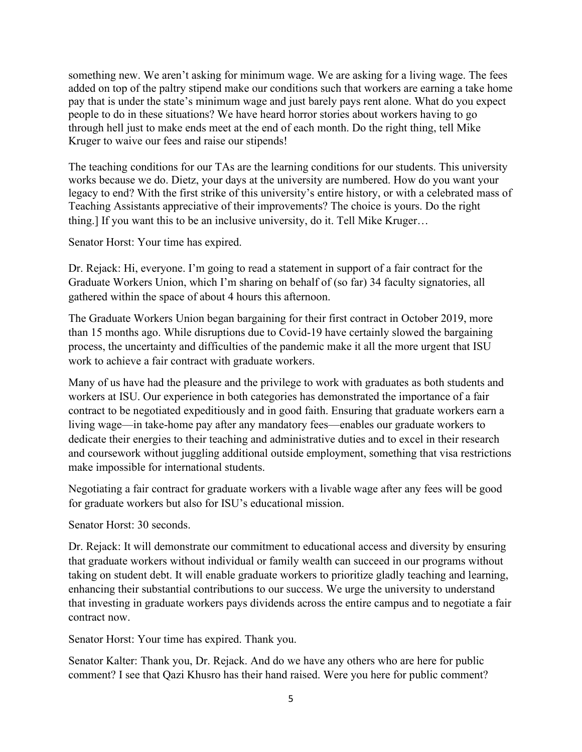something new. We aren't asking for minimum wage. We are asking for a living wage. The fees added on top of the paltry stipend make our conditions such that workers are earning a take home pay that is under the state's minimum wage and just barely pays rent alone. What do you expect people to do in these situations? We have heard horror stories about workers having to go through hell just to make ends meet at the end of each month. Do the right thing, tell Mike Kruger to waive our fees and raise our stipends!

The teaching conditions for our TAs are the learning conditions for our students. This university works because we do. Dietz, your days at the university are numbered. How do you want your legacy to end? With the first strike of this university's entire history, or with a celebrated mass of Teaching Assistants appreciative of their improvements? The choice is yours. Do the right thing.] If you want this to be an inclusive university, do it. Tell Mike Kruger…

Senator Horst: Your time has expired.

Dr. Rejack: Hi, everyone. I'm going to read a statement in support of a fair contract for the Graduate Workers Union, which I'm sharing on behalf of (so far) 34 faculty signatories, all gathered within the space of about 4 hours this afternoon.

The Graduate Workers Union began bargaining for their first contract in October 2019, more than 15 months ago. While disruptions due to Covid-19 have certainly slowed the bargaining process, the uncertainty and difficulties of the pandemic make it all the more urgent that ISU work to achieve a fair contract with graduate workers.

Many of us have had the pleasure and the privilege to work with graduates as both students and workers at ISU. Our experience in both categories has demonstrated the importance of a fair contract to be negotiated expeditiously and in good faith. Ensuring that graduate workers earn a living wage—in take-home pay after any mandatory fees—enables our graduate workers to dedicate their energies to their teaching and administrative duties and to excel in their research and coursework without juggling additional outside employment, something that visa restrictions make impossible for international students.

Negotiating a fair contract for graduate workers with a livable wage after any fees will be good for graduate workers but also for ISU's educational mission.

Senator Horst: 30 seconds.

Dr. Rejack: It will demonstrate our commitment to educational access and diversity by ensuring that graduate workers without individual or family wealth can succeed in our programs without taking on student debt. It will enable graduate workers to prioritize gladly teaching and learning, enhancing their substantial contributions to our success. We urge the university to understand that investing in graduate workers pays dividends across the entire campus and to negotiate a fair contract now.

Senator Horst: Your time has expired. Thank you.

Senator Kalter: Thank you, Dr. Rejack. And do we have any others who are here for public comment? I see that Qazi Khusro has their hand raised. Were you here for public comment?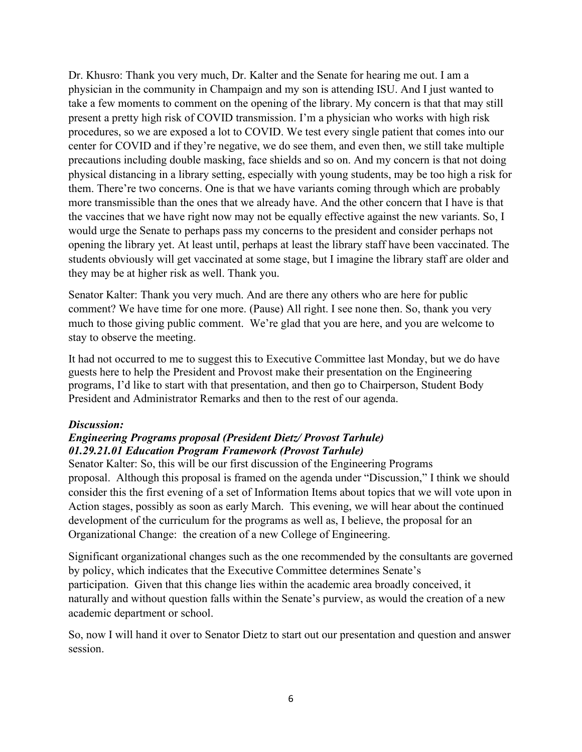Dr. Khusro: Thank you very much, Dr. Kalter and the Senate for hearing me out. I am a physician in the community in Champaign and my son is attending ISU. And I just wanted to take a few moments to comment on the opening of the library. My concern is that that may still present a pretty high risk of COVID transmission. I'm a physician who works with high risk procedures, so we are exposed a lot to COVID. We test every single patient that comes into our center for COVID and if they're negative, we do see them, and even then, we still take multiple precautions including double masking, face shields and so on. And my concern is that not doing physical distancing in a library setting, especially with young students, may be too high a risk for them. There're two concerns. One is that we have variants coming through which are probably more transmissible than the ones that we already have. And the other concern that I have is that the vaccines that we have right now may not be equally effective against the new variants. So, I would urge the Senate to perhaps pass my concerns to the president and consider perhaps not opening the library yet. At least until, perhaps at least the library staff have been vaccinated. The students obviously will get vaccinated at some stage, but I imagine the library staff are older and they may be at higher risk as well. Thank you.

Senator Kalter: Thank you very much. And are there any others who are here for public comment? We have time for one more. (Pause) All right. I see none then. So, thank you very much to those giving public comment. We're glad that you are here, and you are welcome to stay to observe the meeting.

It had not occurred to me to suggest this to Executive Committee last Monday, but we do have guests here to help the President and Provost make their presentation on the Engineering programs, I'd like to start with that presentation, and then go to Chairperson, Student Body President and Administrator Remarks and then to the rest of our agenda.

#### *Discussion:*

## *Engineering Programs proposal (President Dietz/ Provost Tarhule) 01.29.21.01 Education Program Framework (Provost Tarhule)*

Senator Kalter: So, this will be our first discussion of the Engineering Programs proposal. Although this proposal is framed on the agenda under "Discussion," I think we should consider this the first evening of a set of Information Items about topics that we will vote upon in Action stages, possibly as soon as early March. This evening, we will hear about the continued development of the curriculum for the programs as well as, I believe, the proposal for an Organizational Change: the creation of a new College of Engineering.

Significant organizational changes such as the one recommended by the consultants are governed by policy, which indicates that the Executive Committee determines Senate's participation. Given that this change lies within the academic area broadly conceived, it naturally and without question falls within the Senate's purview, as would the creation of a new academic department or school.

So, now I will hand it over to Senator Dietz to start out our presentation and question and answer session.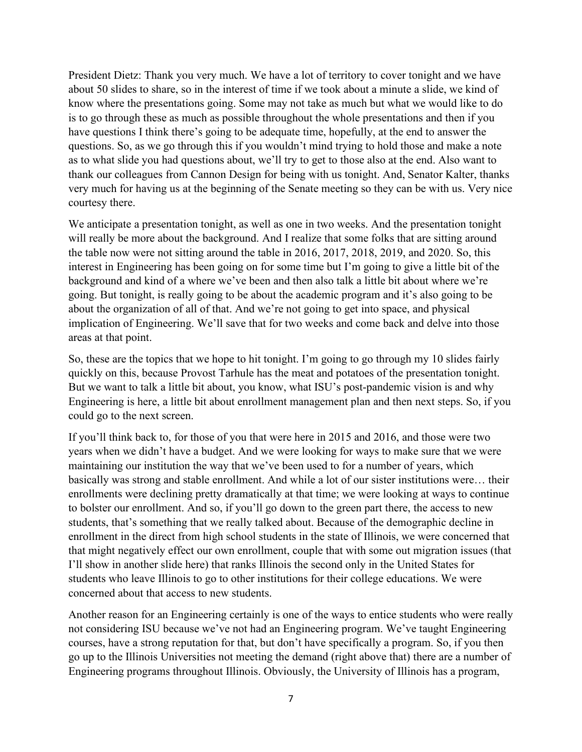President Dietz: Thank you very much. We have a lot of territory to cover tonight and we have about 50 slides to share, so in the interest of time if we took about a minute a slide, we kind of know where the presentations going. Some may not take as much but what we would like to do is to go through these as much as possible throughout the whole presentations and then if you have questions I think there's going to be adequate time, hopefully, at the end to answer the questions. So, as we go through this if you wouldn't mind trying to hold those and make a note as to what slide you had questions about, we'll try to get to those also at the end. Also want to thank our colleagues from Cannon Design for being with us tonight. And, Senator Kalter, thanks very much for having us at the beginning of the Senate meeting so they can be with us. Very nice courtesy there.

We anticipate a presentation tonight, as well as one in two weeks. And the presentation tonight will really be more about the background. And I realize that some folks that are sitting around the table now were not sitting around the table in 2016, 2017, 2018, 2019, and 2020. So, this interest in Engineering has been going on for some time but I'm going to give a little bit of the background and kind of a where we've been and then also talk a little bit about where we're going. But tonight, is really going to be about the academic program and it's also going to be about the organization of all of that. And we're not going to get into space, and physical implication of Engineering. We'll save that for two weeks and come back and delve into those areas at that point.

So, these are the topics that we hope to hit tonight. I'm going to go through my 10 slides fairly quickly on this, because Provost Tarhule has the meat and potatoes of the presentation tonight. But we want to talk a little bit about, you know, what ISU's post-pandemic vision is and why Engineering is here, a little bit about enrollment management plan and then next steps. So, if you could go to the next screen.

If you'll think back to, for those of you that were here in 2015 and 2016, and those were two years when we didn't have a budget. And we were looking for ways to make sure that we were maintaining our institution the way that we've been used to for a number of years, which basically was strong and stable enrollment. And while a lot of our sister institutions were… their enrollments were declining pretty dramatically at that time; we were looking at ways to continue to bolster our enrollment. And so, if you'll go down to the green part there, the access to new students, that's something that we really talked about. Because of the demographic decline in enrollment in the direct from high school students in the state of Illinois, we were concerned that that might negatively effect our own enrollment, couple that with some out migration issues (that I'll show in another slide here) that ranks Illinois the second only in the United States for students who leave Illinois to go to other institutions for their college educations. We were concerned about that access to new students.

Another reason for an Engineering certainly is one of the ways to entice students who were really not considering ISU because we've not had an Engineering program. We've taught Engineering courses, have a strong reputation for that, but don't have specifically a program. So, if you then go up to the Illinois Universities not meeting the demand (right above that) there are a number of Engineering programs throughout Illinois. Obviously, the University of Illinois has a program,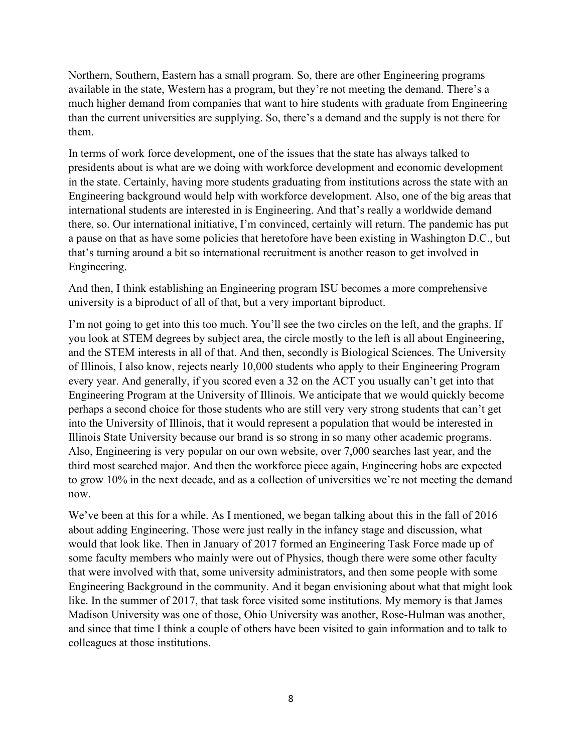Northern, Southern, Eastern has a small program. So, there are other Engineering programs available in the state, Western has a program, but they're not meeting the demand. There's a much higher demand from companies that want to hire students with graduate from Engineering than the current universities are supplying. So, there's a demand and the supply is not there for them.

In terms of work force development, one of the issues that the state has always talked to presidents about is what are we doing with workforce development and economic development in the state. Certainly, having more students graduating from institutions across the state with an Engineering background would help with workforce development. Also, one of the big areas that international students are interested in is Engineering. And that's really a worldwide demand there, so. Our international initiative, I'm convinced, certainly will return. The pandemic has put a pause on that as have some policies that heretofore have been existing in Washington D.C., but that's turning around a bit so international recruitment is another reason to get involved in Engineering.

And then, I think establishing an Engineering program ISU becomes a more comprehensive university is a biproduct of all of that, but a very important biproduct.

I'm not going to get into this too much. You'll see the two circles on the left, and the graphs. If you look at STEM degrees by subject area, the circle mostly to the left is all about Engineering, and the STEM interests in all of that. And then, secondly is Biological Sciences. The University of Illinois, I also know, rejects nearly 10,000 students who apply to their Engineering Program every year. And generally, if you scored even a 32 on the ACT you usually can't get into that Engineering Program at the University of Illinois. We anticipate that we would quickly become perhaps a second choice for those students who are still very very strong students that can't get into the University of Illinois, that it would represent a population that would be interested in Illinois State University because our brand is so strong in so many other academic programs. Also, Engineering is very popular on our own website, over 7,000 searches last year, and the third most searched major. And then the workforce piece again, Engineering hobs are expected to grow 10% in the next decade, and as a collection of universities we're not meeting the demand now.

We've been at this for a while. As I mentioned, we began talking about this in the fall of 2016 about adding Engineering. Those were just really in the infancy stage and discussion, what would that look like. Then in January of 2017 formed an Engineering Task Force made up of some faculty members who mainly were out of Physics, though there were some other faculty that were involved with that, some university administrators, and then some people with some Engineering Background in the community. And it began envisioning about what that might look like. In the summer of 2017, that task force visited some institutions. My memory is that James Madison University was one of those, Ohio University was another, Rose-Hulman was another, and since that time I think a couple of others have been visited to gain information and to talk to colleagues at those institutions.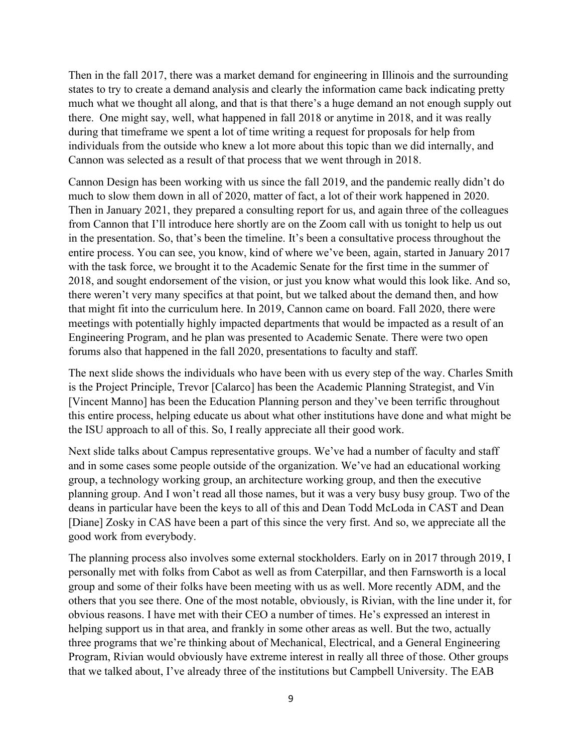Then in the fall 2017, there was a market demand for engineering in Illinois and the surrounding states to try to create a demand analysis and clearly the information came back indicating pretty much what we thought all along, and that is that there's a huge demand an not enough supply out there. One might say, well, what happened in fall 2018 or anytime in 2018, and it was really during that timeframe we spent a lot of time writing a request for proposals for help from individuals from the outside who knew a lot more about this topic than we did internally, and Cannon was selected as a result of that process that we went through in 2018.

Cannon Design has been working with us since the fall 2019, and the pandemic really didn't do much to slow them down in all of 2020, matter of fact, a lot of their work happened in 2020. Then in January 2021, they prepared a consulting report for us, and again three of the colleagues from Cannon that I'll introduce here shortly are on the Zoom call with us tonight to help us out in the presentation. So, that's been the timeline. It's been a consultative process throughout the entire process. You can see, you know, kind of where we've been, again, started in January 2017 with the task force, we brought it to the Academic Senate for the first time in the summer of 2018, and sought endorsement of the vision, or just you know what would this look like. And so, there weren't very many specifics at that point, but we talked about the demand then, and how that might fit into the curriculum here. In 2019, Cannon came on board. Fall 2020, there were meetings with potentially highly impacted departments that would be impacted as a result of an Engineering Program, and he plan was presented to Academic Senate. There were two open forums also that happened in the fall 2020, presentations to faculty and staff.

The next slide shows the individuals who have been with us every step of the way. Charles Smith is the Project Principle, Trevor [Calarco] has been the Academic Planning Strategist, and Vin [Vincent Manno] has been the Education Planning person and they've been terrific throughout this entire process, helping educate us about what other institutions have done and what might be the ISU approach to all of this. So, I really appreciate all their good work.

Next slide talks about Campus representative groups. We've had a number of faculty and staff and in some cases some people outside of the organization. We've had an educational working group, a technology working group, an architecture working group, and then the executive planning group. And I won't read all those names, but it was a very busy busy group. Two of the deans in particular have been the keys to all of this and Dean Todd McLoda in CAST and Dean [Diane] Zosky in CAS have been a part of this since the very first. And so, we appreciate all the good work from everybody.

The planning process also involves some external stockholders. Early on in 2017 through 2019, I personally met with folks from Cabot as well as from Caterpillar, and then Farnsworth is a local group and some of their folks have been meeting with us as well. More recently ADM, and the others that you see there. One of the most notable, obviously, is Rivian, with the line under it, for obvious reasons. I have met with their CEO a number of times. He's expressed an interest in helping support us in that area, and frankly in some other areas as well. But the two, actually three programs that we're thinking about of Mechanical, Electrical, and a General Engineering Program, Rivian would obviously have extreme interest in really all three of those. Other groups that we talked about, I've already three of the institutions but Campbell University. The EAB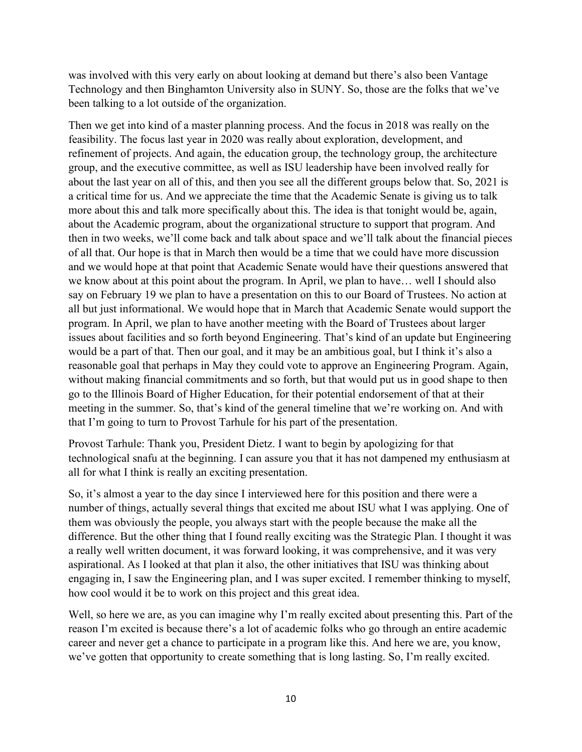was involved with this very early on about looking at demand but there's also been Vantage Technology and then Binghamton University also in SUNY. So, those are the folks that we've been talking to a lot outside of the organization.

Then we get into kind of a master planning process. And the focus in 2018 was really on the feasibility. The focus last year in 2020 was really about exploration, development, and refinement of projects. And again, the education group, the technology group, the architecture group, and the executive committee, as well as ISU leadership have been involved really for about the last year on all of this, and then you see all the different groups below that. So, 2021 is a critical time for us. And we appreciate the time that the Academic Senate is giving us to talk more about this and talk more specifically about this. The idea is that tonight would be, again, about the Academic program, about the organizational structure to support that program. And then in two weeks, we'll come back and talk about space and we'll talk about the financial pieces of all that. Our hope is that in March then would be a time that we could have more discussion and we would hope at that point that Academic Senate would have their questions answered that we know about at this point about the program. In April, we plan to have… well I should also say on February 19 we plan to have a presentation on this to our Board of Trustees. No action at all but just informational. We would hope that in March that Academic Senate would support the program. In April, we plan to have another meeting with the Board of Trustees about larger issues about facilities and so forth beyond Engineering. That's kind of an update but Engineering would be a part of that. Then our goal, and it may be an ambitious goal, but I think it's also a reasonable goal that perhaps in May they could vote to approve an Engineering Program. Again, without making financial commitments and so forth, but that would put us in good shape to then go to the Illinois Board of Higher Education, for their potential endorsement of that at their meeting in the summer. So, that's kind of the general timeline that we're working on. And with that I'm going to turn to Provost Tarhule for his part of the presentation.

Provost Tarhule: Thank you, President Dietz. I want to begin by apologizing for that technological snafu at the beginning. I can assure you that it has not dampened my enthusiasm at all for what I think is really an exciting presentation.

So, it's almost a year to the day since I interviewed here for this position and there were a number of things, actually several things that excited me about ISU what I was applying. One of them was obviously the people, you always start with the people because the make all the difference. But the other thing that I found really exciting was the Strategic Plan. I thought it was a really well written document, it was forward looking, it was comprehensive, and it was very aspirational. As I looked at that plan it also, the other initiatives that ISU was thinking about engaging in, I saw the Engineering plan, and I was super excited. I remember thinking to myself, how cool would it be to work on this project and this great idea.

Well, so here we are, as you can imagine why I'm really excited about presenting this. Part of the reason I'm excited is because there's a lot of academic folks who go through an entire academic career and never get a chance to participate in a program like this. And here we are, you know, we've gotten that opportunity to create something that is long lasting. So, I'm really excited.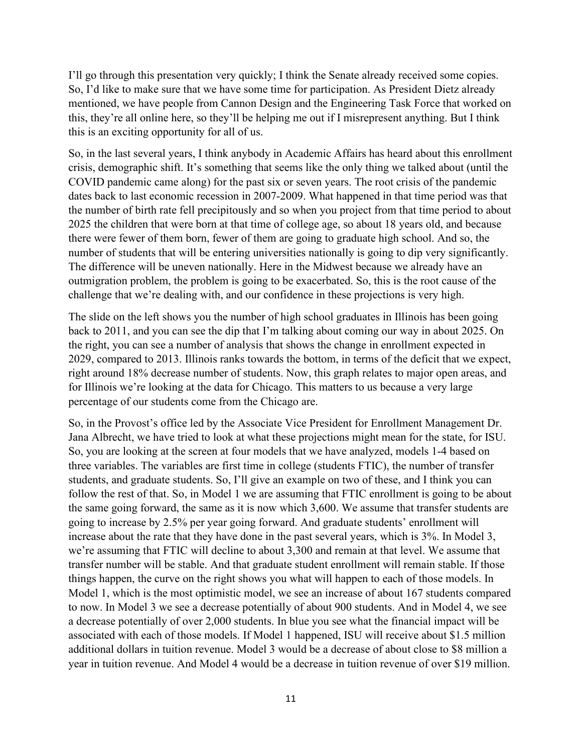I'll go through this presentation very quickly; I think the Senate already received some copies. So, I'd like to make sure that we have some time for participation. As President Dietz already mentioned, we have people from Cannon Design and the Engineering Task Force that worked on this, they're all online here, so they'll be helping me out if I misrepresent anything. But I think this is an exciting opportunity for all of us.

So, in the last several years, I think anybody in Academic Affairs has heard about this enrollment crisis, demographic shift. It's something that seems like the only thing we talked about (until the COVID pandemic came along) for the past six or seven years. The root crisis of the pandemic dates back to last economic recession in 2007-2009. What happened in that time period was that the number of birth rate fell precipitously and so when you project from that time period to about 2025 the children that were born at that time of college age, so about 18 years old, and because there were fewer of them born, fewer of them are going to graduate high school. And so, the number of students that will be entering universities nationally is going to dip very significantly. The difference will be uneven nationally. Here in the Midwest because we already have an outmigration problem, the problem is going to be exacerbated. So, this is the root cause of the challenge that we're dealing with, and our confidence in these projections is very high.

The slide on the left shows you the number of high school graduates in Illinois has been going back to 2011, and you can see the dip that I'm talking about coming our way in about 2025. On the right, you can see a number of analysis that shows the change in enrollment expected in 2029, compared to 2013. Illinois ranks towards the bottom, in terms of the deficit that we expect, right around 18% decrease number of students. Now, this graph relates to major open areas, and for Illinois we're looking at the data for Chicago. This matters to us because a very large percentage of our students come from the Chicago are.

So, in the Provost's office led by the Associate Vice President for Enrollment Management Dr. Jana Albrecht, we have tried to look at what these projections might mean for the state, for ISU. So, you are looking at the screen at four models that we have analyzed, models 1-4 based on three variables. The variables are first time in college (students FTIC), the number of transfer students, and graduate students. So, I'll give an example on two of these, and I think you can follow the rest of that. So, in Model 1 we are assuming that FTIC enrollment is going to be about the same going forward, the same as it is now which 3,600. We assume that transfer students are going to increase by 2.5% per year going forward. And graduate students' enrollment will increase about the rate that they have done in the past several years, which is 3%. In Model 3, we're assuming that FTIC will decline to about 3,300 and remain at that level. We assume that transfer number will be stable. And that graduate student enrollment will remain stable. If those things happen, the curve on the right shows you what will happen to each of those models. In Model 1, which is the most optimistic model, we see an increase of about 167 students compared to now. In Model 3 we see a decrease potentially of about 900 students. And in Model 4, we see a decrease potentially of over 2,000 students. In blue you see what the financial impact will be associated with each of those models. If Model 1 happened, ISU will receive about \$1.5 million additional dollars in tuition revenue. Model 3 would be a decrease of about close to \$8 million a year in tuition revenue. And Model 4 would be a decrease in tuition revenue of over \$19 million.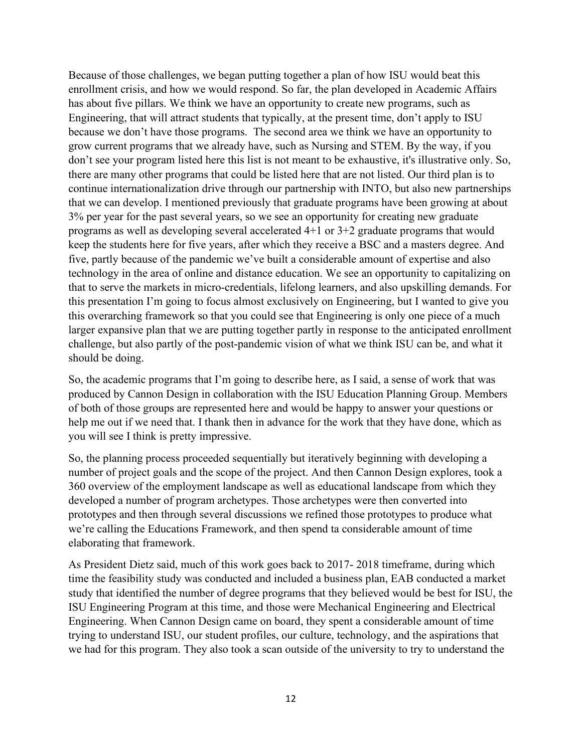Because of those challenges, we began putting together a plan of how ISU would beat this enrollment crisis, and how we would respond. So far, the plan developed in Academic Affairs has about five pillars. We think we have an opportunity to create new programs, such as Engineering, that will attract students that typically, at the present time, don't apply to ISU because we don't have those programs. The second area we think we have an opportunity to grow current programs that we already have, such as Nursing and STEM. By the way, if you don't see your program listed here this list is not meant to be exhaustive, it's illustrative only. So, there are many other programs that could be listed here that are not listed. Our third plan is to continue internationalization drive through our partnership with INTO, but also new partnerships that we can develop. I mentioned previously that graduate programs have been growing at about 3% per year for the past several years, so we see an opportunity for creating new graduate programs as well as developing several accelerated 4+1 or 3+2 graduate programs that would keep the students here for five years, after which they receive a BSC and a masters degree. And five, partly because of the pandemic we've built a considerable amount of expertise and also technology in the area of online and distance education. We see an opportunity to capitalizing on that to serve the markets in micro-credentials, lifelong learners, and also upskilling demands. For this presentation I'm going to focus almost exclusively on Engineering, but I wanted to give you this overarching framework so that you could see that Engineering is only one piece of a much larger expansive plan that we are putting together partly in response to the anticipated enrollment challenge, but also partly of the post-pandemic vision of what we think ISU can be, and what it should be doing.

So, the academic programs that I'm going to describe here, as I said, a sense of work that was produced by Cannon Design in collaboration with the ISU Education Planning Group. Members of both of those groups are represented here and would be happy to answer your questions or help me out if we need that. I thank then in advance for the work that they have done, which as you will see I think is pretty impressive.

So, the planning process proceeded sequentially but iteratively beginning with developing a number of project goals and the scope of the project. And then Cannon Design explores, took a 360 overview of the employment landscape as well as educational landscape from which they developed a number of program archetypes. Those archetypes were then converted into prototypes and then through several discussions we refined those prototypes to produce what we're calling the Educations Framework, and then spend ta considerable amount of time elaborating that framework.

As President Dietz said, much of this work goes back to 2017- 2018 timeframe, during which time the feasibility study was conducted and included a business plan, EAB conducted a market study that identified the number of degree programs that they believed would be best for ISU, the ISU Engineering Program at this time, and those were Mechanical Engineering and Electrical Engineering. When Cannon Design came on board, they spent a considerable amount of time trying to understand ISU, our student profiles, our culture, technology, and the aspirations that we had for this program. They also took a scan outside of the university to try to understand the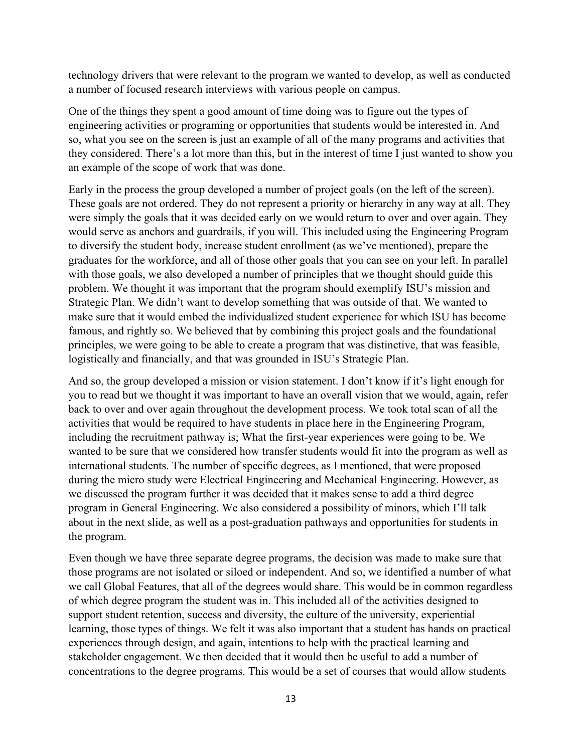technology drivers that were relevant to the program we wanted to develop, as well as conducted a number of focused research interviews with various people on campus.

One of the things they spent a good amount of time doing was to figure out the types of engineering activities or programing or opportunities that students would be interested in. And so, what you see on the screen is just an example of all of the many programs and activities that they considered. There's a lot more than this, but in the interest of time I just wanted to show you an example of the scope of work that was done.

Early in the process the group developed a number of project goals (on the left of the screen). These goals are not ordered. They do not represent a priority or hierarchy in any way at all. They were simply the goals that it was decided early on we would return to over and over again. They would serve as anchors and guardrails, if you will. This included using the Engineering Program to diversify the student body, increase student enrollment (as we've mentioned), prepare the graduates for the workforce, and all of those other goals that you can see on your left. In parallel with those goals, we also developed a number of principles that we thought should guide this problem. We thought it was important that the program should exemplify ISU's mission and Strategic Plan. We didn't want to develop something that was outside of that. We wanted to make sure that it would embed the individualized student experience for which ISU has become famous, and rightly so. We believed that by combining this project goals and the foundational principles, we were going to be able to create a program that was distinctive, that was feasible, logistically and financially, and that was grounded in ISU's Strategic Plan.

And so, the group developed a mission or vision statement. I don't know if it's light enough for you to read but we thought it was important to have an overall vision that we would, again, refer back to over and over again throughout the development process. We took total scan of all the activities that would be required to have students in place here in the Engineering Program, including the recruitment pathway is; What the first-year experiences were going to be. We wanted to be sure that we considered how transfer students would fit into the program as well as international students. The number of specific degrees, as I mentioned, that were proposed during the micro study were Electrical Engineering and Mechanical Engineering. However, as we discussed the program further it was decided that it makes sense to add a third degree program in General Engineering. We also considered a possibility of minors, which I'll talk about in the next slide, as well as a post-graduation pathways and opportunities for students in the program.

Even though we have three separate degree programs, the decision was made to make sure that those programs are not isolated or siloed or independent. And so, we identified a number of what we call Global Features, that all of the degrees would share. This would be in common regardless of which degree program the student was in. This included all of the activities designed to support student retention, success and diversity, the culture of the university, experiential learning, those types of things. We felt it was also important that a student has hands on practical experiences through design, and again, intentions to help with the practical learning and stakeholder engagement. We then decided that it would then be useful to add a number of concentrations to the degree programs. This would be a set of courses that would allow students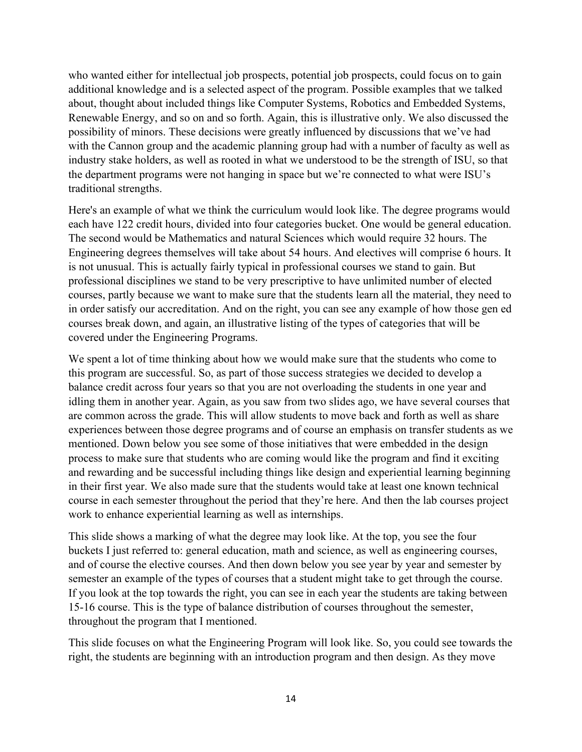who wanted either for intellectual job prospects, potential job prospects, could focus on to gain additional knowledge and is a selected aspect of the program. Possible examples that we talked about, thought about included things like Computer Systems, Robotics and Embedded Systems, Renewable Energy, and so on and so forth. Again, this is illustrative only. We also discussed the possibility of minors. These decisions were greatly influenced by discussions that we've had with the Cannon group and the academic planning group had with a number of faculty as well as industry stake holders, as well as rooted in what we understood to be the strength of ISU, so that the department programs were not hanging in space but we're connected to what were ISU's traditional strengths.

Here's an example of what we think the curriculum would look like. The degree programs would each have 122 credit hours, divided into four categories bucket. One would be general education. The second would be Mathematics and natural Sciences which would require 32 hours. The Engineering degrees themselves will take about 54 hours. And electives will comprise 6 hours. It is not unusual. This is actually fairly typical in professional courses we stand to gain. But professional disciplines we stand to be very prescriptive to have unlimited number of elected courses, partly because we want to make sure that the students learn all the material, they need to in order satisfy our accreditation. And on the right, you can see any example of how those gen ed courses break down, and again, an illustrative listing of the types of categories that will be covered under the Engineering Programs.

We spent a lot of time thinking about how we would make sure that the students who come to this program are successful. So, as part of those success strategies we decided to develop a balance credit across four years so that you are not overloading the students in one year and idling them in another year. Again, as you saw from two slides ago, we have several courses that are common across the grade. This will allow students to move back and forth as well as share experiences between those degree programs and of course an emphasis on transfer students as we mentioned. Down below you see some of those initiatives that were embedded in the design process to make sure that students who are coming would like the program and find it exciting and rewarding and be successful including things like design and experiential learning beginning in their first year. We also made sure that the students would take at least one known technical course in each semester throughout the period that they're here. And then the lab courses project work to enhance experiential learning as well as internships.

This slide shows a marking of what the degree may look like. At the top, you see the four buckets I just referred to: general education, math and science, as well as engineering courses, and of course the elective courses. And then down below you see year by year and semester by semester an example of the types of courses that a student might take to get through the course. If you look at the top towards the right, you can see in each year the students are taking between 15-16 course. This is the type of balance distribution of courses throughout the semester, throughout the program that I mentioned.

This slide focuses on what the Engineering Program will look like. So, you could see towards the right, the students are beginning with an introduction program and then design. As they move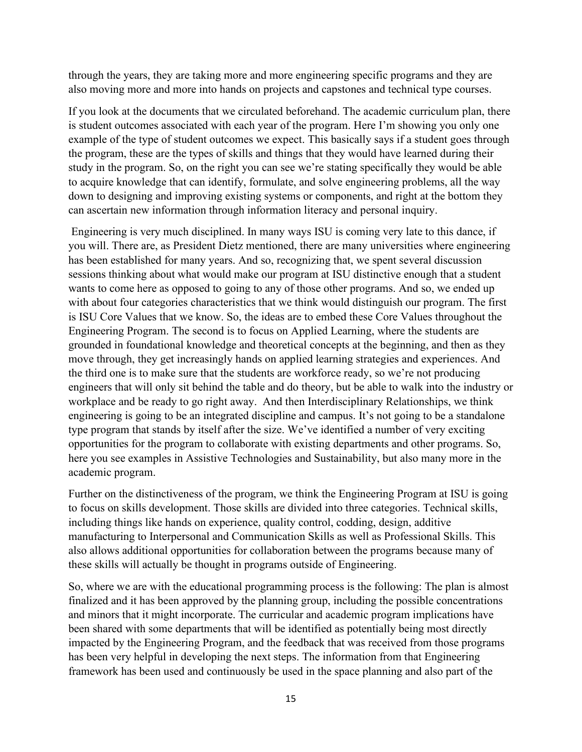through the years, they are taking more and more engineering specific programs and they are also moving more and more into hands on projects and capstones and technical type courses.

If you look at the documents that we circulated beforehand. The academic curriculum plan, there is student outcomes associated with each year of the program. Here I'm showing you only one example of the type of student outcomes we expect. This basically says if a student goes through the program, these are the types of skills and things that they would have learned during their study in the program. So, on the right you can see we're stating specifically they would be able to acquire knowledge that can identify, formulate, and solve engineering problems, all the way down to designing and improving existing systems or components, and right at the bottom they can ascertain new information through information literacy and personal inquiry.

Engineering is very much disciplined. In many ways ISU is coming very late to this dance, if you will. There are, as President Dietz mentioned, there are many universities where engineering has been established for many years. And so, recognizing that, we spent several discussion sessions thinking about what would make our program at ISU distinctive enough that a student wants to come here as opposed to going to any of those other programs. And so, we ended up with about four categories characteristics that we think would distinguish our program. The first is ISU Core Values that we know. So, the ideas are to embed these Core Values throughout the Engineering Program. The second is to focus on Applied Learning, where the students are grounded in foundational knowledge and theoretical concepts at the beginning, and then as they move through, they get increasingly hands on applied learning strategies and experiences. And the third one is to make sure that the students are workforce ready, so we're not producing engineers that will only sit behind the table and do theory, but be able to walk into the industry or workplace and be ready to go right away. And then Interdisciplinary Relationships, we think engineering is going to be an integrated discipline and campus. It's not going to be a standalone type program that stands by itself after the size. We've identified a number of very exciting opportunities for the program to collaborate with existing departments and other programs. So, here you see examples in Assistive Technologies and Sustainability, but also many more in the academic program.

Further on the distinctiveness of the program, we think the Engineering Program at ISU is going to focus on skills development. Those skills are divided into three categories. Technical skills, including things like hands on experience, quality control, codding, design, additive manufacturing to Interpersonal and Communication Skills as well as Professional Skills. This also allows additional opportunities for collaboration between the programs because many of these skills will actually be thought in programs outside of Engineering.

So, where we are with the educational programming process is the following: The plan is almost finalized and it has been approved by the planning group, including the possible concentrations and minors that it might incorporate. The curricular and academic program implications have been shared with some departments that will be identified as potentially being most directly impacted by the Engineering Program, and the feedback that was received from those programs has been very helpful in developing the next steps. The information from that Engineering framework has been used and continuously be used in the space planning and also part of the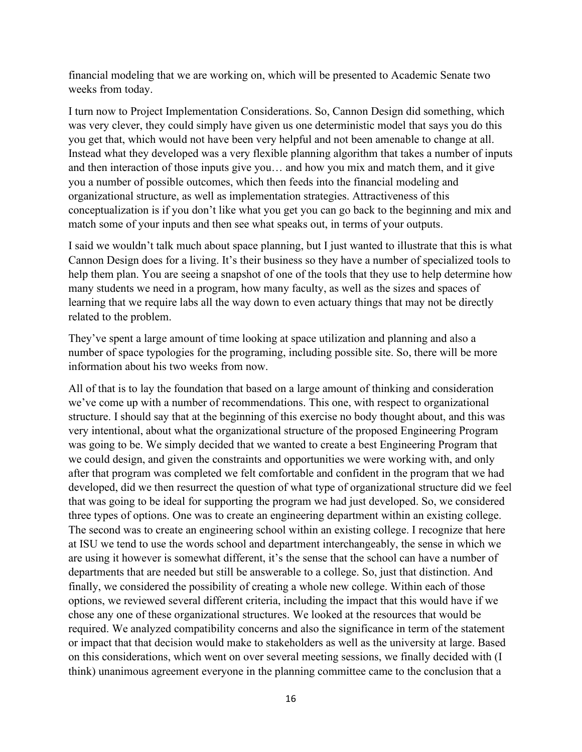financial modeling that we are working on, which will be presented to Academic Senate two weeks from today.

I turn now to Project Implementation Considerations. So, Cannon Design did something, which was very clever, they could simply have given us one deterministic model that says you do this you get that, which would not have been very helpful and not been amenable to change at all. Instead what they developed was a very flexible planning algorithm that takes a number of inputs and then interaction of those inputs give you… and how you mix and match them, and it give you a number of possible outcomes, which then feeds into the financial modeling and organizational structure, as well as implementation strategies. Attractiveness of this conceptualization is if you don't like what you get you can go back to the beginning and mix and match some of your inputs and then see what speaks out, in terms of your outputs.

I said we wouldn't talk much about space planning, but I just wanted to illustrate that this is what Cannon Design does for a living. It's their business so they have a number of specialized tools to help them plan. You are seeing a snapshot of one of the tools that they use to help determine how many students we need in a program, how many faculty, as well as the sizes and spaces of learning that we require labs all the way down to even actuary things that may not be directly related to the problem.

They've spent a large amount of time looking at space utilization and planning and also a number of space typologies for the programing, including possible site. So, there will be more information about his two weeks from now.

All of that is to lay the foundation that based on a large amount of thinking and consideration we've come up with a number of recommendations. This one, with respect to organizational structure. I should say that at the beginning of this exercise no body thought about, and this was very intentional, about what the organizational structure of the proposed Engineering Program was going to be. We simply decided that we wanted to create a best Engineering Program that we could design, and given the constraints and opportunities we were working with, and only after that program was completed we felt comfortable and confident in the program that we had developed, did we then resurrect the question of what type of organizational structure did we feel that was going to be ideal for supporting the program we had just developed. So, we considered three types of options. One was to create an engineering department within an existing college. The second was to create an engineering school within an existing college. I recognize that here at ISU we tend to use the words school and department interchangeably, the sense in which we are using it however is somewhat different, it's the sense that the school can have a number of departments that are needed but still be answerable to a college. So, just that distinction. And finally, we considered the possibility of creating a whole new college. Within each of those options, we reviewed several different criteria, including the impact that this would have if we chose any one of these organizational structures. We looked at the resources that would be required. We analyzed compatibility concerns and also the significance in term of the statement or impact that that decision would make to stakeholders as well as the university at large. Based on this considerations, which went on over several meeting sessions, we finally decided with (I think) unanimous agreement everyone in the planning committee came to the conclusion that a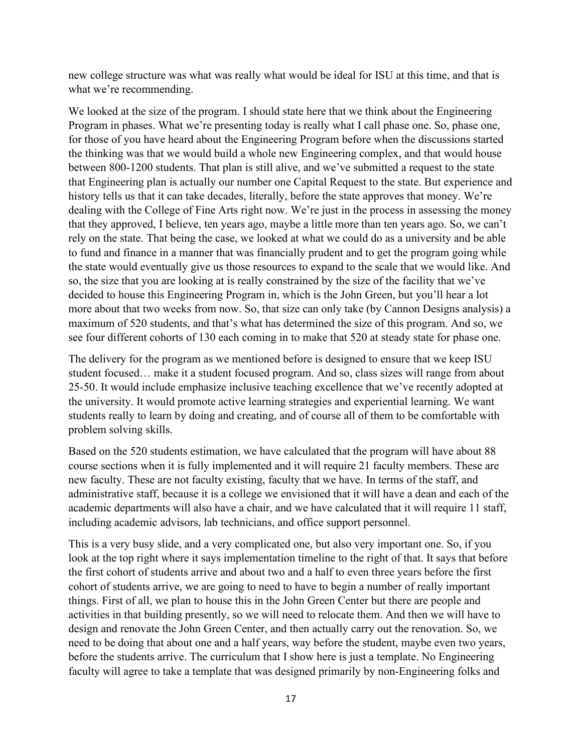new college structure was what was really what would be ideal for ISU at this time, and that is what we're recommending.

We looked at the size of the program. I should state here that we think about the Engineering Program in phases. What we're presenting today is really what I call phase one. So, phase one, for those of you have heard about the Engineering Program before when the discussions started the thinking was that we would build a whole new Engineering complex, and that would house between 800-1200 students. That plan is still alive, and we've submitted a request to the state that Engineering plan is actually our number one Capital Request to the state. But experience and history tells us that it can take decades, literally, before the state approves that money. We're dealing with the College of Fine Arts right now. We're just in the process in assessing the money that they approved, I believe, ten years ago, maybe a little more than ten years ago. So, we can't rely on the state. That being the case, we looked at what we could do as a university and be able to fund and finance in a manner that was financially prudent and to get the program going while the state would eventually give us those resources to expand to the scale that we would like. And so, the size that you are looking at is really constrained by the size of the facility that we've decided to house this Engineering Program in, which is the John Green, but you'll hear a lot more about that two weeks from now. So, that size can only take (by Cannon Designs analysis) a maximum of 520 students, and that's what has determined the size of this program. And so, we see four different cohorts of 130 each coming in to make that 520 at steady state for phase one.

The delivery for the program as we mentioned before is designed to ensure that we keep ISU student focused… make it a student focused program. And so, class sizes will range from about 25-50. It would include emphasize inclusive teaching excellence that we've recently adopted at the university. It would promote active learning strategies and experiential learning. We want students really to learn by doing and creating, and of course all of them to be comfortable with problem solving skills.

Based on the 520 students estimation, we have calculated that the program will have about 88 course sections when it is fully implemented and it will require 21 faculty members. These are new faculty. These are not faculty existing, faculty that we have. In terms of the staff, and administrative staff, because it is a college we envisioned that it will have a dean and each of the academic departments will also have a chair, and we have calculated that it will require 11 staff, including academic advisors, lab technicians, and office support personnel.

This is a very busy slide, and a very complicated one, but also very important one. So, if you look at the top right where it says implementation timeline to the right of that. It says that before the first cohort of students arrive and about two and a half to even three years before the first cohort of students arrive, we are going to need to have to begin a number of really important things. First of all, we plan to house this in the John Green Center but there are people and activities in that building presently, so we will need to relocate them. And then we will have to design and renovate the John Green Center, and then actually carry out the renovation. So, we need to be doing that about one and a half years, way before the student, maybe even two years, before the students arrive. The curriculum that I show here is just a template. No Engineering faculty will agree to take a template that was designed primarily by non-Engineering folks and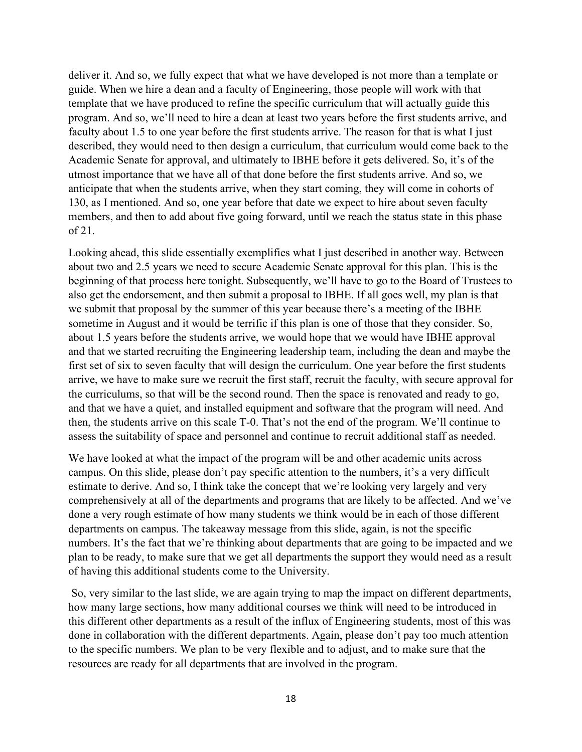deliver it. And so, we fully expect that what we have developed is not more than a template or guide. When we hire a dean and a faculty of Engineering, those people will work with that template that we have produced to refine the specific curriculum that will actually guide this program. And so, we'll need to hire a dean at least two years before the first students arrive, and faculty about 1.5 to one year before the first students arrive. The reason for that is what I just described, they would need to then design a curriculum, that curriculum would come back to the Academic Senate for approval, and ultimately to IBHE before it gets delivered. So, it's of the utmost importance that we have all of that done before the first students arrive. And so, we anticipate that when the students arrive, when they start coming, they will come in cohorts of 130, as I mentioned. And so, one year before that date we expect to hire about seven faculty members, and then to add about five going forward, until we reach the status state in this phase of 21.

Looking ahead, this slide essentially exemplifies what I just described in another way. Between about two and 2.5 years we need to secure Academic Senate approval for this plan. This is the beginning of that process here tonight. Subsequently, we'll have to go to the Board of Trustees to also get the endorsement, and then submit a proposal to IBHE. If all goes well, my plan is that we submit that proposal by the summer of this year because there's a meeting of the IBHE sometime in August and it would be terrific if this plan is one of those that they consider. So, about 1.5 years before the students arrive, we would hope that we would have IBHE approval and that we started recruiting the Engineering leadership team, including the dean and maybe the first set of six to seven faculty that will design the curriculum. One year before the first students arrive, we have to make sure we recruit the first staff, recruit the faculty, with secure approval for the curriculums, so that will be the second round. Then the space is renovated and ready to go, and that we have a quiet, and installed equipment and software that the program will need. And then, the students arrive on this scale T-0. That's not the end of the program. We'll continue to assess the suitability of space and personnel and continue to recruit additional staff as needed.

We have looked at what the impact of the program will be and other academic units across campus. On this slide, please don't pay specific attention to the numbers, it's a very difficult estimate to derive. And so, I think take the concept that we're looking very largely and very comprehensively at all of the departments and programs that are likely to be affected. And we've done a very rough estimate of how many students we think would be in each of those different departments on campus. The takeaway message from this slide, again, is not the specific numbers. It's the fact that we're thinking about departments that are going to be impacted and we plan to be ready, to make sure that we get all departments the support they would need as a result of having this additional students come to the University.

So, very similar to the last slide, we are again trying to map the impact on different departments, how many large sections, how many additional courses we think will need to be introduced in this different other departments as a result of the influx of Engineering students, most of this was done in collaboration with the different departments. Again, please don't pay too much attention to the specific numbers. We plan to be very flexible and to adjust, and to make sure that the resources are ready for all departments that are involved in the program.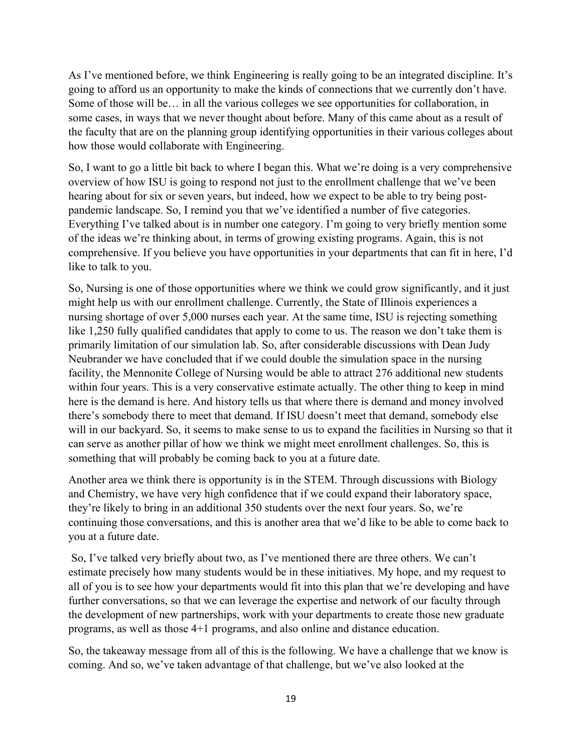As I've mentioned before, we think Engineering is really going to be an integrated discipline. It's going to afford us an opportunity to make the kinds of connections that we currently don't have. Some of those will be… in all the various colleges we see opportunities for collaboration, in some cases, in ways that we never thought about before. Many of this came about as a result of the faculty that are on the planning group identifying opportunities in their various colleges about how those would collaborate with Engineering.

So, I want to go a little bit back to where I began this. What we're doing is a very comprehensive overview of how ISU is going to respond not just to the enrollment challenge that we've been hearing about for six or seven years, but indeed, how we expect to be able to try being postpandemic landscape. So, I remind you that we've identified a number of five categories. Everything I've talked about is in number one category. I'm going to very briefly mention some of the ideas we're thinking about, in terms of growing existing programs. Again, this is not comprehensive. If you believe you have opportunities in your departments that can fit in here, I'd like to talk to you.

So, Nursing is one of those opportunities where we think we could grow significantly, and it just might help us with our enrollment challenge. Currently, the State of Illinois experiences a nursing shortage of over 5,000 nurses each year. At the same time, ISU is rejecting something like 1,250 fully qualified candidates that apply to come to us. The reason we don't take them is primarily limitation of our simulation lab. So, after considerable discussions with Dean Judy Neubrander we have concluded that if we could double the simulation space in the nursing facility, the Mennonite College of Nursing would be able to attract 276 additional new students within four years. This is a very conservative estimate actually. The other thing to keep in mind here is the demand is here. And history tells us that where there is demand and money involved there's somebody there to meet that demand. If ISU doesn't meet that demand, somebody else will in our backyard. So, it seems to make sense to us to expand the facilities in Nursing so that it can serve as another pillar of how we think we might meet enrollment challenges. So, this is something that will probably be coming back to you at a future date.

Another area we think there is opportunity is in the STEM. Through discussions with Biology and Chemistry, we have very high confidence that if we could expand their laboratory space, they're likely to bring in an additional 350 students over the next four years. So, we're continuing those conversations, and this is another area that we'd like to be able to come back to you at a future date.

So, I've talked very briefly about two, as I've mentioned there are three others. We can't estimate precisely how many students would be in these initiatives. My hope, and my request to all of you is to see how your departments would fit into this plan that we're developing and have further conversations, so that we can leverage the expertise and network of our faculty through the development of new partnerships, work with your departments to create those new graduate programs, as well as those 4+1 programs, and also online and distance education.

So, the takeaway message from all of this is the following. We have a challenge that we know is coming. And so, we've taken advantage of that challenge, but we've also looked at the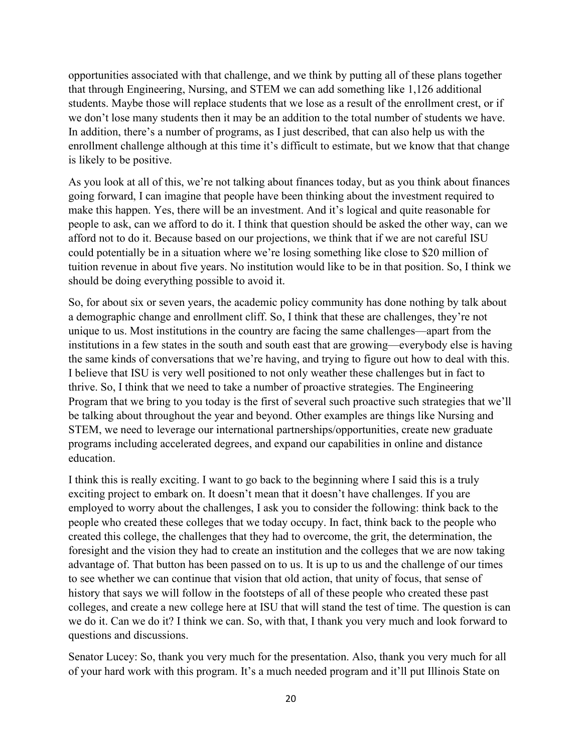opportunities associated with that challenge, and we think by putting all of these plans together that through Engineering, Nursing, and STEM we can add something like 1,126 additional students. Maybe those will replace students that we lose as a result of the enrollment crest, or if we don't lose many students then it may be an addition to the total number of students we have. In addition, there's a number of programs, as I just described, that can also help us with the enrollment challenge although at this time it's difficult to estimate, but we know that that change is likely to be positive.

As you look at all of this, we're not talking about finances today, but as you think about finances going forward, I can imagine that people have been thinking about the investment required to make this happen. Yes, there will be an investment. And it's logical and quite reasonable for people to ask, can we afford to do it. I think that question should be asked the other way, can we afford not to do it. Because based on our projections, we think that if we are not careful ISU could potentially be in a situation where we're losing something like close to \$20 million of tuition revenue in about five years. No institution would like to be in that position. So, I think we should be doing everything possible to avoid it.

So, for about six or seven years, the academic policy community has done nothing by talk about a demographic change and enrollment cliff. So, I think that these are challenges, they're not unique to us. Most institutions in the country are facing the same challenges—apart from the institutions in a few states in the south and south east that are growing—everybody else is having the same kinds of conversations that we're having, and trying to figure out how to deal with this. I believe that ISU is very well positioned to not only weather these challenges but in fact to thrive. So, I think that we need to take a number of proactive strategies. The Engineering Program that we bring to you today is the first of several such proactive such strategies that we'll be talking about throughout the year and beyond. Other examples are things like Nursing and STEM, we need to leverage our international partnerships/opportunities, create new graduate programs including accelerated degrees, and expand our capabilities in online and distance education.

I think this is really exciting. I want to go back to the beginning where I said this is a truly exciting project to embark on. It doesn't mean that it doesn't have challenges. If you are employed to worry about the challenges, I ask you to consider the following: think back to the people who created these colleges that we today occupy. In fact, think back to the people who created this college, the challenges that they had to overcome, the grit, the determination, the foresight and the vision they had to create an institution and the colleges that we are now taking advantage of. That button has been passed on to us. It is up to us and the challenge of our times to see whether we can continue that vision that old action, that unity of focus, that sense of history that says we will follow in the footsteps of all of these people who created these past colleges, and create a new college here at ISU that will stand the test of time. The question is can we do it. Can we do it? I think we can. So, with that, I thank you very much and look forward to questions and discussions.

Senator Lucey: So, thank you very much for the presentation. Also, thank you very much for all of your hard work with this program. It's a much needed program and it'll put Illinois State on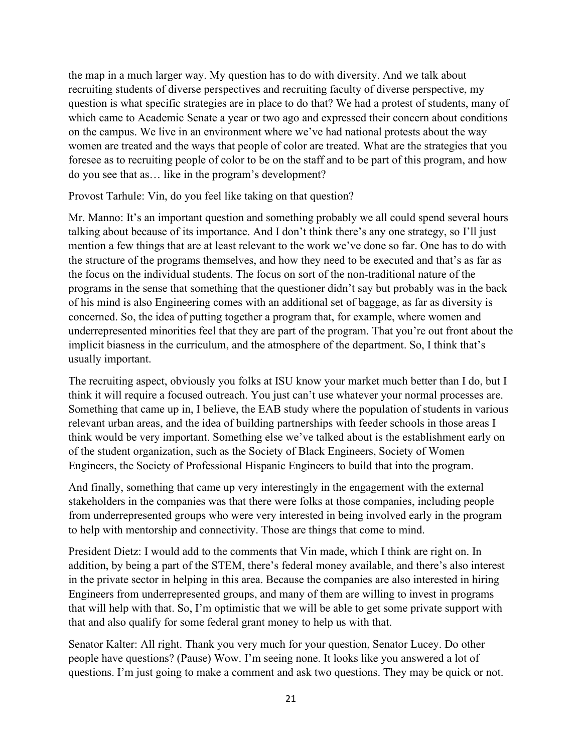the map in a much larger way. My question has to do with diversity. And we talk about recruiting students of diverse perspectives and recruiting faculty of diverse perspective, my question is what specific strategies are in place to do that? We had a protest of students, many of which came to Academic Senate a year or two ago and expressed their concern about conditions on the campus. We live in an environment where we've had national protests about the way women are treated and the ways that people of color are treated. What are the strategies that you foresee as to recruiting people of color to be on the staff and to be part of this program, and how do you see that as… like in the program's development?

Provost Tarhule: Vin, do you feel like taking on that question?

Mr. Manno: It's an important question and something probably we all could spend several hours talking about because of its importance. And I don't think there's any one strategy, so I'll just mention a few things that are at least relevant to the work we've done so far. One has to do with the structure of the programs themselves, and how they need to be executed and that's as far as the focus on the individual students. The focus on sort of the non-traditional nature of the programs in the sense that something that the questioner didn't say but probably was in the back of his mind is also Engineering comes with an additional set of baggage, as far as diversity is concerned. So, the idea of putting together a program that, for example, where women and underrepresented minorities feel that they are part of the program. That you're out front about the implicit biasness in the curriculum, and the atmosphere of the department. So, I think that's usually important.

The recruiting aspect, obviously you folks at ISU know your market much better than I do, but I think it will require a focused outreach. You just can't use whatever your normal processes are. Something that came up in, I believe, the EAB study where the population of students in various relevant urban areas, and the idea of building partnerships with feeder schools in those areas I think would be very important. Something else we've talked about is the establishment early on of the student organization, such as the Society of Black Engineers, Society of Women Engineers, the Society of Professional Hispanic Engineers to build that into the program.

And finally, something that came up very interestingly in the engagement with the external stakeholders in the companies was that there were folks at those companies, including people from underrepresented groups who were very interested in being involved early in the program to help with mentorship and connectivity. Those are things that come to mind.

President Dietz: I would add to the comments that Vin made, which I think are right on. In addition, by being a part of the STEM, there's federal money available, and there's also interest in the private sector in helping in this area. Because the companies are also interested in hiring Engineers from underrepresented groups, and many of them are willing to invest in programs that will help with that. So, I'm optimistic that we will be able to get some private support with that and also qualify for some federal grant money to help us with that.

Senator Kalter: All right. Thank you very much for your question, Senator Lucey. Do other people have questions? (Pause) Wow. I'm seeing none. It looks like you answered a lot of questions. I'm just going to make a comment and ask two questions. They may be quick or not.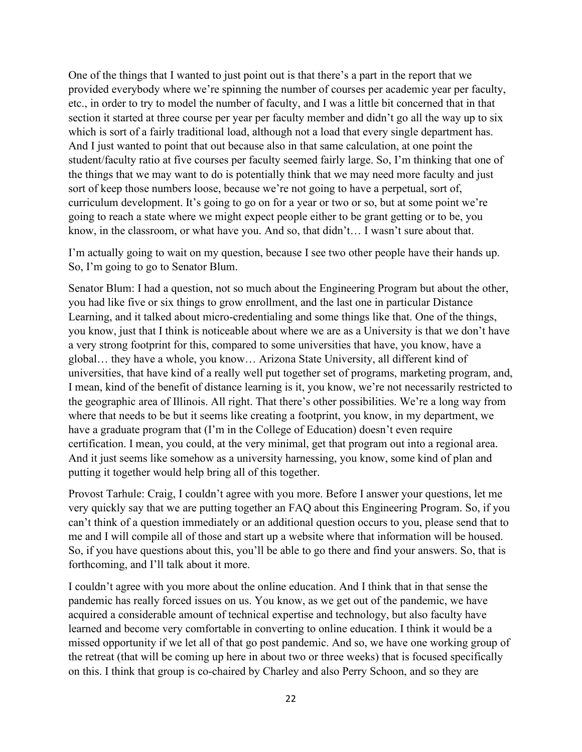One of the things that I wanted to just point out is that there's a part in the report that we provided everybody where we're spinning the number of courses per academic year per faculty, etc., in order to try to model the number of faculty, and I was a little bit concerned that in that section it started at three course per year per faculty member and didn't go all the way up to six which is sort of a fairly traditional load, although not a load that every single department has. And I just wanted to point that out because also in that same calculation, at one point the student/faculty ratio at five courses per faculty seemed fairly large. So, I'm thinking that one of the things that we may want to do is potentially think that we may need more faculty and just sort of keep those numbers loose, because we're not going to have a perpetual, sort of, curriculum development. It's going to go on for a year or two or so, but at some point we're going to reach a state where we might expect people either to be grant getting or to be, you know, in the classroom, or what have you. And so, that didn't… I wasn't sure about that.

I'm actually going to wait on my question, because I see two other people have their hands up. So, I'm going to go to Senator Blum.

Senator Blum: I had a question, not so much about the Engineering Program but about the other, you had like five or six things to grow enrollment, and the last one in particular Distance Learning, and it talked about micro-credentialing and some things like that. One of the things, you know, just that I think is noticeable about where we are as a University is that we don't have a very strong footprint for this, compared to some universities that have, you know, have a global… they have a whole, you know… Arizona State University, all different kind of universities, that have kind of a really well put together set of programs, marketing program, and, I mean, kind of the benefit of distance learning is it, you know, we're not necessarily restricted to the geographic area of Illinois. All right. That there's other possibilities. We're a long way from where that needs to be but it seems like creating a footprint, you know, in my department, we have a graduate program that (I'm in the College of Education) doesn't even require certification. I mean, you could, at the very minimal, get that program out into a regional area. And it just seems like somehow as a university harnessing, you know, some kind of plan and putting it together would help bring all of this together.

Provost Tarhule: Craig, I couldn't agree with you more. Before I answer your questions, let me very quickly say that we are putting together an FAQ about this Engineering Program. So, if you can't think of a question immediately or an additional question occurs to you, please send that to me and I will compile all of those and start up a website where that information will be housed. So, if you have questions about this, you'll be able to go there and find your answers. So, that is forthcoming, and I'll talk about it more.

I couldn't agree with you more about the online education. And I think that in that sense the pandemic has really forced issues on us. You know, as we get out of the pandemic, we have acquired a considerable amount of technical expertise and technology, but also faculty have learned and become very comfortable in converting to online education. I think it would be a missed opportunity if we let all of that go post pandemic. And so, we have one working group of the retreat (that will be coming up here in about two or three weeks) that is focused specifically on this. I think that group is co-chaired by Charley and also Perry Schoon, and so they are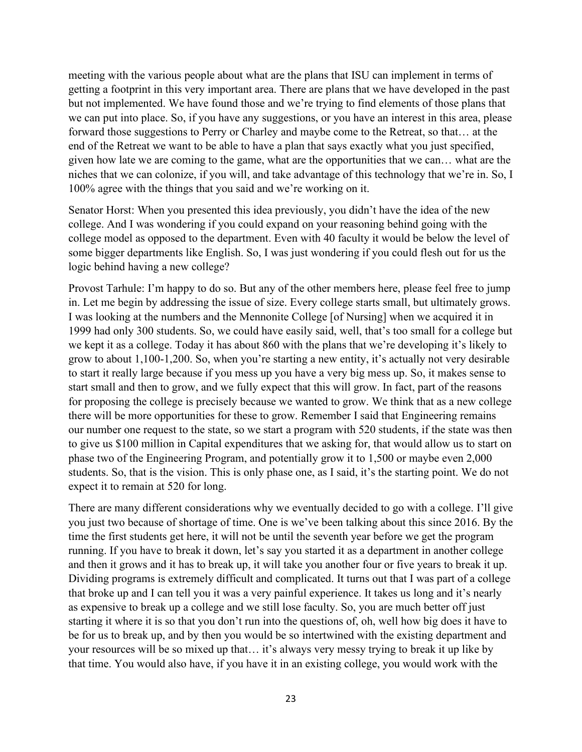meeting with the various people about what are the plans that ISU can implement in terms of getting a footprint in this very important area. There are plans that we have developed in the past but not implemented. We have found those and we're trying to find elements of those plans that we can put into place. So, if you have any suggestions, or you have an interest in this area, please forward those suggestions to Perry or Charley and maybe come to the Retreat, so that… at the end of the Retreat we want to be able to have a plan that says exactly what you just specified, given how late we are coming to the game, what are the opportunities that we can… what are the niches that we can colonize, if you will, and take advantage of this technology that we're in. So, I 100% agree with the things that you said and we're working on it.

Senator Horst: When you presented this idea previously, you didn't have the idea of the new college. And I was wondering if you could expand on your reasoning behind going with the college model as opposed to the department. Even with 40 faculty it would be below the level of some bigger departments like English. So, I was just wondering if you could flesh out for us the logic behind having a new college?

Provost Tarhule: I'm happy to do so. But any of the other members here, please feel free to jump in. Let me begin by addressing the issue of size. Every college starts small, but ultimately grows. I was looking at the numbers and the Mennonite College [of Nursing] when we acquired it in 1999 had only 300 students. So, we could have easily said, well, that's too small for a college but we kept it as a college. Today it has about 860 with the plans that we're developing it's likely to grow to about 1,100-1,200. So, when you're starting a new entity, it's actually not very desirable to start it really large because if you mess up you have a very big mess up. So, it makes sense to start small and then to grow, and we fully expect that this will grow. In fact, part of the reasons for proposing the college is precisely because we wanted to grow. We think that as a new college there will be more opportunities for these to grow. Remember I said that Engineering remains our number one request to the state, so we start a program with 520 students, if the state was then to give us \$100 million in Capital expenditures that we asking for, that would allow us to start on phase two of the Engineering Program, and potentially grow it to 1,500 or maybe even 2,000 students. So, that is the vision. This is only phase one, as I said, it's the starting point. We do not expect it to remain at 520 for long.

There are many different considerations why we eventually decided to go with a college. I'll give you just two because of shortage of time. One is we've been talking about this since 2016. By the time the first students get here, it will not be until the seventh year before we get the program running. If you have to break it down, let's say you started it as a department in another college and then it grows and it has to break up, it will take you another four or five years to break it up. Dividing programs is extremely difficult and complicated. It turns out that I was part of a college that broke up and I can tell you it was a very painful experience. It takes us long and it's nearly as expensive to break up a college and we still lose faculty. So, you are much better off just starting it where it is so that you don't run into the questions of, oh, well how big does it have to be for us to break up, and by then you would be so intertwined with the existing department and your resources will be so mixed up that… it's always very messy trying to break it up like by that time. You would also have, if you have it in an existing college, you would work with the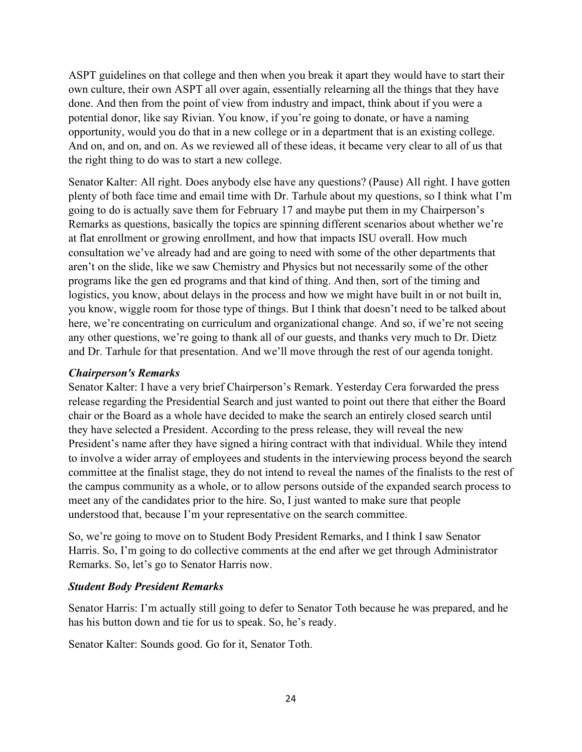ASPT guidelines on that college and then when you break it apart they would have to start their own culture, their own ASPT all over again, essentially relearning all the things that they have done. And then from the point of view from industry and impact, think about if you were a potential donor, like say Rivian. You know, if you're going to donate, or have a naming opportunity, would you do that in a new college or in a department that is an existing college. And on, and on, and on. As we reviewed all of these ideas, it became very clear to all of us that the right thing to do was to start a new college.

Senator Kalter: All right. Does anybody else have any questions? (Pause) All right. I have gotten plenty of both face time and email time with Dr. Tarhule about my questions, so I think what I'm going to do is actually save them for February 17 and maybe put them in my Chairperson's Remarks as questions, basically the topics are spinning different scenarios about whether we're at flat enrollment or growing enrollment, and how that impacts ISU overall. How much consultation we've already had and are going to need with some of the other departments that aren't on the slide, like we saw Chemistry and Physics but not necessarily some of the other programs like the gen ed programs and that kind of thing. And then, sort of the timing and logistics, you know, about delays in the process and how we might have built in or not built in, you know, wiggle room for those type of things. But I think that doesn't need to be talked about here, we're concentrating on curriculum and organizational change. And so, if we're not seeing any other questions, we're going to thank all of our guests, and thanks very much to Dr. Dietz and Dr. Tarhule for that presentation. And we'll move through the rest of our agenda tonight.

#### *Chairperson's Remarks*

Senator Kalter: I have a very brief Chairperson's Remark. Yesterday Cera forwarded the press release regarding the Presidential Search and just wanted to point out there that either the Board chair or the Board as a whole have decided to make the search an entirely closed search until they have selected a President. According to the press release, they will reveal the new President's name after they have signed a hiring contract with that individual. While they intend to involve a wider array of employees and students in the interviewing process beyond the search committee at the finalist stage, they do not intend to reveal the names of the finalists to the rest of the campus community as a whole, or to allow persons outside of the expanded search process to meet any of the candidates prior to the hire. So, I just wanted to make sure that people understood that, because I'm your representative on the search committee.

So, we're going to move on to Student Body President Remarks, and I think I saw Senator Harris. So, I'm going to do collective comments at the end after we get through Administrator Remarks. So, let's go to Senator Harris now.

#### *Student Body President Remarks*

Senator Harris: I'm actually still going to defer to Senator Toth because he was prepared, and he has his button down and tie for us to speak. So, he's ready.

Senator Kalter: Sounds good. Go for it, Senator Toth.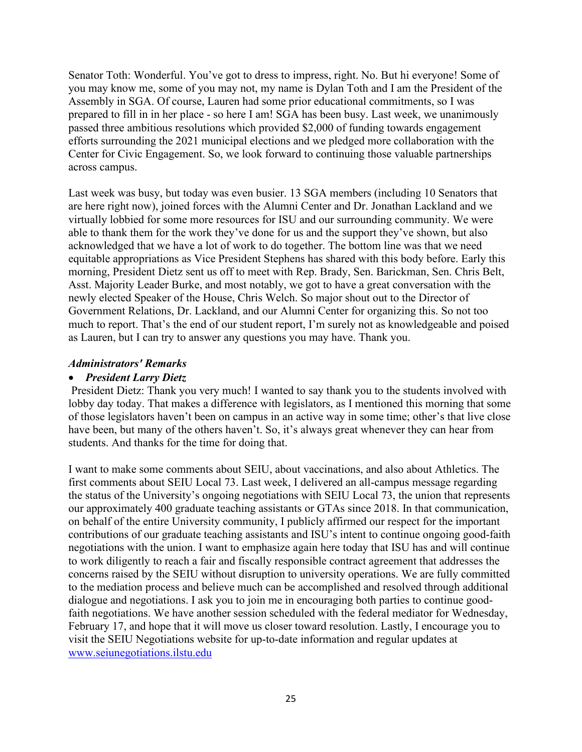Senator Toth: Wonderful. You've got to dress to impress, right. No. But hi everyone! Some of you may know me, some of you may not, my name is Dylan Toth and I am the President of the Assembly in SGA. Of course, Lauren had some prior educational commitments, so I was prepared to fill in in her place - so here I am! SGA has been busy. Last week, we unanimously passed three ambitious resolutions which provided \$2,000 of funding towards engagement efforts surrounding the 2021 municipal elections and we pledged more collaboration with the Center for Civic Engagement. So, we look forward to continuing those valuable partnerships across campus.

Last week was busy, but today was even busier. 13 SGA members (including 10 Senators that are here right now), joined forces with the Alumni Center and Dr. Jonathan Lackland and we virtually lobbied for some more resources for ISU and our surrounding community. We were able to thank them for the work they've done for us and the support they've shown, but also acknowledged that we have a lot of work to do together. The bottom line was that we need equitable appropriations as Vice President Stephens has shared with this body before. Early this morning, President Dietz sent us off to meet with Rep. Brady, Sen. Barickman, Sen. Chris Belt, Asst. Majority Leader Burke, and most notably, we got to have a great conversation with the newly elected Speaker of the House, Chris Welch. So major shout out to the Director of Government Relations, Dr. Lackland, and our Alumni Center for organizing this. So not too much to report. That's the end of our student report, I'm surely not as knowledgeable and poised as Lauren, but I can try to answer any questions you may have. Thank you.

#### *Administrators' Remarks*

#### • *President Larry Dietz*

 President Dietz: Thank you very much! I wanted to say thank you to the students involved with lobby day today. That makes a difference with legislators, as I mentioned this morning that some of those legislators haven't been on campus in an active way in some time; other's that live close have been, but many of the others haven't. So, it's always great whenever they can hear from students. And thanks for the time for doing that.

I want to make some comments about SEIU, about vaccinations, and also about Athletics. The first comments about SEIU Local 73. Last week, I delivered an all-campus message regarding the status of the University's ongoing negotiations with SEIU Local 73, the union that represents our approximately 400 graduate teaching assistants or GTAs since 2018. In that communication, on behalf of the entire University community, I publicly affirmed our respect for the important contributions of our graduate teaching assistants and ISU's intent to continue ongoing good-faith negotiations with the union. I want to emphasize again here today that ISU has and will continue to work diligently to reach a fair and fiscally responsible contract agreement that addresses the concerns raised by the SEIU without disruption to university operations. We are fully committed to the mediation process and believe much can be accomplished and resolved through additional dialogue and negotiations. I ask you to join me in encouraging both parties to continue goodfaith negotiations. We have another session scheduled with the federal mediator for Wednesday, February 17, and hope that it will move us closer toward resolution. Lastly, I encourage you to visit the SEIU Negotiations website for up-to-date information and regular updates at [www.seiunegotiations.ilstu.edu](http://www.seiunegotiations.ilstu.edu/)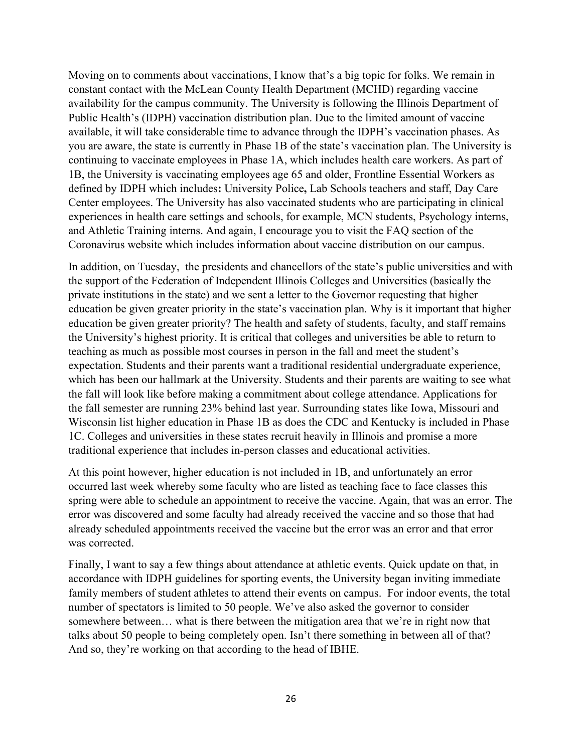Moving on to comments about vaccinations, I know that's a big topic for folks. We remain in constant contact with the McLean County Health Department (MCHD) regarding vaccine availability for the campus community. The University is following the Illinois Department of Public Health's (IDPH) vaccination distribution plan. Due to the limited amount of vaccine available, it will take considerable time to advance through the IDPH's vaccination phases. As you are aware, the state is currently in Phase 1B of the state's vaccination plan. The University is continuing to vaccinate employees in Phase 1A, which includes health care workers. As part of 1B, the University is vaccinating employees age 65 and older, Frontline Essential Workers as defined by IDPH which includes**:** University Police**,** Lab Schools teachers and staff, Day Care Center employees. The University has also vaccinated students who are participating in clinical experiences in health care settings and schools, for example, MCN students, Psychology interns, and Athletic Training interns. And again, I encourage you to visit the FAQ section of the Coronavirus website which includes information about vaccine distribution on our campus.

In addition, on Tuesday, the presidents and chancellors of the state's public universities and with the support of the Federation of Independent Illinois Colleges and Universities (basically the private institutions in the state) and we sent a letter to the Governor requesting that higher education be given greater priority in the state's vaccination plan. Why is it important that higher education be given greater priority? The health and safety of students, faculty, and staff remains the University's highest priority. It is critical that colleges and universities be able to return to teaching as much as possible most courses in person in the fall and meet the student's expectation. Students and their parents want a traditional residential undergraduate experience, which has been our hallmark at the University. Students and their parents are waiting to see what the fall will look like before making a commitment about college attendance. Applications for the fall semester are running 23% behind last year. Surrounding states like Iowa, Missouri and Wisconsin list higher education in Phase 1B as does the CDC and Kentucky is included in Phase 1C. Colleges and universities in these states recruit heavily in Illinois and promise a more traditional experience that includes in-person classes and educational activities.

At this point however, higher education is not included in 1B, and unfortunately an error occurred last week whereby some faculty who are listed as teaching face to face classes this spring were able to schedule an appointment to receive the vaccine. Again, that was an error. The error was discovered and some faculty had already received the vaccine and so those that had already scheduled appointments received the vaccine but the error was an error and that error was corrected.

Finally, I want to say a few things about attendance at athletic events. Quick update on that, in accordance with IDPH guidelines for sporting events, the University began inviting immediate family members of student athletes to attend their events on campus. For indoor events, the total number of spectators is limited to 50 people. We've also asked the governor to consider somewhere between… what is there between the mitigation area that we're in right now that talks about 50 people to being completely open. Isn't there something in between all of that? And so, they're working on that according to the head of IBHE.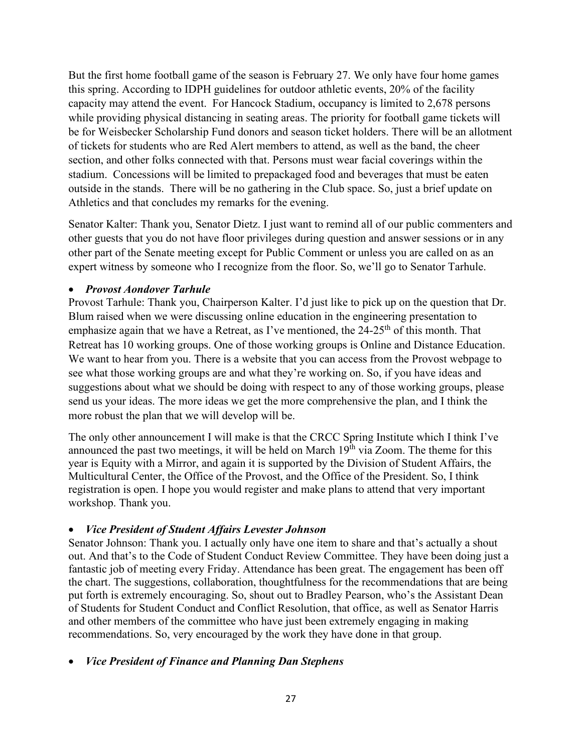But the first home football game of the season is February 27. We only have four home games this spring. According to IDPH guidelines for outdoor athletic events, 20% of the facility capacity may attend the event. For Hancock Stadium, occupancy is limited to 2,678 persons while providing physical distancing in seating areas. The priority for football game tickets will be for Weisbecker Scholarship Fund donors and season ticket holders. There will be an allotment of tickets for students who are Red Alert members to attend, as well as the band, the cheer section, and other folks connected with that. Persons must wear facial coverings within the stadium. Concessions will be limited to prepackaged food and beverages that must be eaten outside in the stands. There will be no gathering in the Club space. So, just a brief update on Athletics and that concludes my remarks for the evening.

Senator Kalter: Thank you, Senator Dietz. I just want to remind all of our public commenters and other guests that you do not have floor privileges during question and answer sessions or in any other part of the Senate meeting except for Public Comment or unless you are called on as an expert witness by someone who I recognize from the floor. So, we'll go to Senator Tarhule.

#### • *Provost Aondover Tarhule*

Provost Tarhule: Thank you, Chairperson Kalter. I'd just like to pick up on the question that Dr. Blum raised when we were discussing online education in the engineering presentation to emphasize again that we have a Retreat, as I've mentioned, the  $24\text{-}25\text{th}$  of this month. That Retreat has 10 working groups. One of those working groups is Online and Distance Education. We want to hear from you. There is a website that you can access from the Provost webpage to see what those working groups are and what they're working on. So, if you have ideas and suggestions about what we should be doing with respect to any of those working groups, please send us your ideas. The more ideas we get the more comprehensive the plan, and I think the more robust the plan that we will develop will be.

The only other announcement I will make is that the CRCC Spring Institute which I think I've announced the past two meetings, it will be held on March  $19<sup>th</sup>$  via Zoom. The theme for this year is Equity with a Mirror, and again it is supported by the Division of Student Affairs, the Multicultural Center, the Office of the Provost, and the Office of the President. So, I think registration is open. I hope you would register and make plans to attend that very important workshop. Thank you.

## • *Vice President of Student Affairs Levester Johnson*

Senator Johnson: Thank you. I actually only have one item to share and that's actually a shout out. And that's to the Code of Student Conduct Review Committee. They have been doing just a fantastic job of meeting every Friday. Attendance has been great. The engagement has been off the chart. The suggestions, collaboration, thoughtfulness for the recommendations that are being put forth is extremely encouraging. So, shout out to Bradley Pearson, who's the Assistant Dean of Students for Student Conduct and Conflict Resolution, that office, as well as Senator Harris and other members of the committee who have just been extremely engaging in making recommendations. So, very encouraged by the work they have done in that group.

## • *Vice President of Finance and Planning Dan Stephens*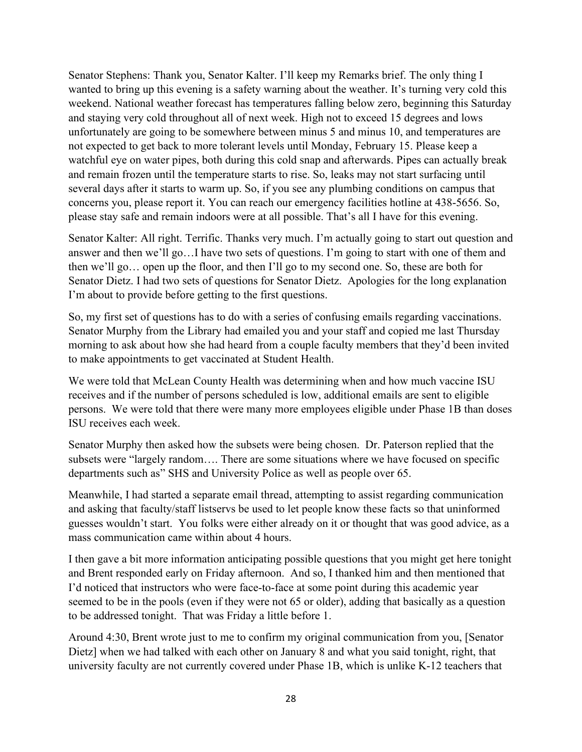Senator Stephens: Thank you, Senator Kalter. I'll keep my Remarks brief. The only thing I wanted to bring up this evening is a safety warning about the weather. It's turning very cold this weekend. National weather forecast has temperatures falling below zero, beginning this Saturday and staying very cold throughout all of next week. High not to exceed 15 degrees and lows unfortunately are going to be somewhere between minus 5 and minus 10, and temperatures are not expected to get back to more tolerant levels until Monday, February 15. Please keep a watchful eye on water pipes, both during this cold snap and afterwards. Pipes can actually break and remain frozen until the temperature starts to rise. So, leaks may not start surfacing until several days after it starts to warm up. So, if you see any plumbing conditions on campus that concerns you, please report it. You can reach our emergency facilities hotline at 438-5656. So, please stay safe and remain indoors were at all possible. That's all I have for this evening.

Senator Kalter: All right. Terrific. Thanks very much. I'm actually going to start out question and answer and then we'll go…I have two sets of questions. I'm going to start with one of them and then we'll go… open up the floor, and then I'll go to my second one. So, these are both for Senator Dietz. I had two sets of questions for Senator Dietz. Apologies for the long explanation I'm about to provide before getting to the first questions.

So, my first set of questions has to do with a series of confusing emails regarding vaccinations. Senator Murphy from the Library had emailed you and your staff and copied me last Thursday morning to ask about how she had heard from a couple faculty members that they'd been invited to make appointments to get vaccinated at Student Health.

We were told that McLean County Health was determining when and how much vaccine ISU receives and if the number of persons scheduled is low, additional emails are sent to eligible persons. We were told that there were many more employees eligible under Phase 1B than doses ISU receives each week.

Senator Murphy then asked how the subsets were being chosen. Dr. Paterson replied that the subsets were "largely random…. There are some situations where we have focused on specific departments such as" SHS and University Police as well as people over 65.

Meanwhile, I had started a separate email thread, attempting to assist regarding communication and asking that faculty/staff listservs be used to let people know these facts so that uninformed guesses wouldn't start. You folks were either already on it or thought that was good advice, as a mass communication came within about 4 hours.

I then gave a bit more information anticipating possible questions that you might get here tonight and Brent responded early on Friday afternoon. And so, I thanked him and then mentioned that I'd noticed that instructors who were face-to-face at some point during this academic year seemed to be in the pools (even if they were not 65 or older), adding that basically as a question to be addressed tonight. That was Friday a little before 1.

Around 4:30, Brent wrote just to me to confirm my original communication from you, [Senator Dietz] when we had talked with each other on January 8 and what you said tonight, right, that university faculty are not currently covered under Phase 1B, which is unlike K-12 teachers that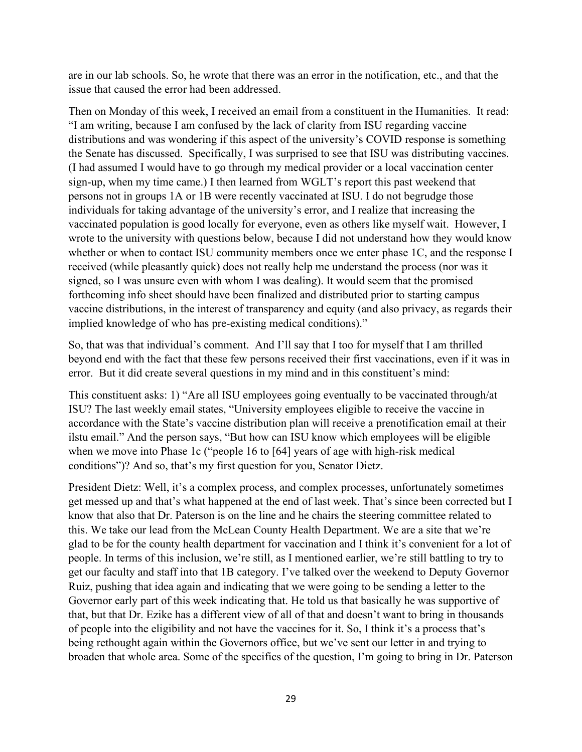are in our lab schools. So, he wrote that there was an error in the notification, etc., and that the issue that caused the error had been addressed.

Then on Monday of this week, I received an email from a constituent in the Humanities. It read: "I am writing, because I am confused by the lack of clarity from ISU regarding vaccine distributions and was wondering if this aspect of the university's COVID response is something the Senate has discussed. Specifically, I was surprised to see that ISU was distributing vaccines. (I had assumed I would have to go through my medical provider or a local vaccination center sign-up, when my time came.) I then learned from WGLT's report this past weekend that persons not in groups 1A or 1B were recently vaccinated at ISU. I do not begrudge those individuals for taking advantage of the university's error, and I realize that increasing the vaccinated population is good locally for everyone, even as others like myself wait. However, I wrote to the university with questions below, because I did not understand how they would know whether or when to contact ISU community members once we enter phase 1C, and the response I received (while pleasantly quick) does not really help me understand the process (nor was it signed, so I was unsure even with whom I was dealing). It would seem that the promised forthcoming info sheet should have been finalized and distributed prior to starting campus vaccine distributions, in the interest of transparency and equity (and also privacy, as regards their implied knowledge of who has pre-existing medical conditions)."

So, that was that individual's comment. And I'll say that I too for myself that I am thrilled beyond end with the fact that these few persons received their first vaccinations, even if it was in error. But it did create several questions in my mind and in this constituent's mind:

This constituent asks: 1) "Are all ISU employees going eventually to be vaccinated through/at ISU? The last weekly email states, "University employees eligible to receive the vaccine in accordance with the State's vaccine distribution plan will receive a prenotification email at their ilstu email." And the person says, "But how can ISU know which employees will be eligible when we move into Phase 1c ("people 16 to [64] years of age with high-risk medical conditions")? And so, that's my first question for you, Senator Dietz.

President Dietz: Well, it's a complex process, and complex processes, unfortunately sometimes get messed up and that's what happened at the end of last week. That's since been corrected but I know that also that Dr. Paterson is on the line and he chairs the steering committee related to this. We take our lead from the McLean County Health Department. We are a site that we're glad to be for the county health department for vaccination and I think it's convenient for a lot of people. In terms of this inclusion, we're still, as I mentioned earlier, we're still battling to try to get our faculty and staff into that 1B category. I've talked over the weekend to Deputy Governor Ruiz, pushing that idea again and indicating that we were going to be sending a letter to the Governor early part of this week indicating that. He told us that basically he was supportive of that, but that Dr. Ezike has a different view of all of that and doesn't want to bring in thousands of people into the eligibility and not have the vaccines for it. So, I think it's a process that's being rethought again within the Governors office, but we've sent our letter in and trying to broaden that whole area. Some of the specifics of the question, I'm going to bring in Dr. Paterson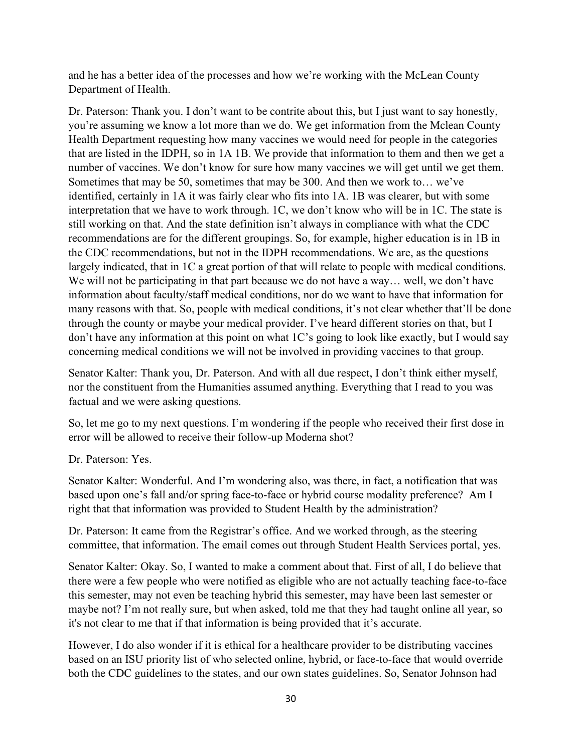and he has a better idea of the processes and how we're working with the McLean County Department of Health.

Dr. Paterson: Thank you. I don't want to be contrite about this, but I just want to say honestly, you're assuming we know a lot more than we do. We get information from the Mclean County Health Department requesting how many vaccines we would need for people in the categories that are listed in the IDPH, so in 1A 1B. We provide that information to them and then we get a number of vaccines. We don't know for sure how many vaccines we will get until we get them. Sometimes that may be 50, sometimes that may be 300. And then we work to… we've identified, certainly in 1A it was fairly clear who fits into 1A. 1B was clearer, but with some interpretation that we have to work through. 1C, we don't know who will be in 1C. The state is still working on that. And the state definition isn't always in compliance with what the CDC recommendations are for the different groupings. So, for example, higher education is in 1B in the CDC recommendations, but not in the IDPH recommendations. We are, as the questions largely indicated, that in 1C a great portion of that will relate to people with medical conditions. We will not be participating in that part because we do not have a way... well, we don't have information about faculty/staff medical conditions, nor do we want to have that information for many reasons with that. So, people with medical conditions, it's not clear whether that'll be done through the county or maybe your medical provider. I've heard different stories on that, but I don't have any information at this point on what 1C's going to look like exactly, but I would say concerning medical conditions we will not be involved in providing vaccines to that group.

Senator Kalter: Thank you, Dr. Paterson. And with all due respect, I don't think either myself, nor the constituent from the Humanities assumed anything. Everything that I read to you was factual and we were asking questions.

So, let me go to my next questions. I'm wondering if the people who received their first dose in error will be allowed to receive their follow-up Moderna shot?

Dr. Paterson: Yes.

Senator Kalter: Wonderful. And I'm wondering also, was there, in fact, a notification that was based upon one's fall and/or spring face-to-face or hybrid course modality preference? Am I right that that information was provided to Student Health by the administration?

Dr. Paterson: It came from the Registrar's office. And we worked through, as the steering committee, that information. The email comes out through Student Health Services portal, yes.

Senator Kalter: Okay. So, I wanted to make a comment about that. First of all, I do believe that there were a few people who were notified as eligible who are not actually teaching face-to-face this semester, may not even be teaching hybrid this semester, may have been last semester or maybe not? I'm not really sure, but when asked, told me that they had taught online all year, so it's not clear to me that if that information is being provided that it's accurate.

However, I do also wonder if it is ethical for a healthcare provider to be distributing vaccines based on an ISU priority list of who selected online, hybrid, or face-to-face that would override both the CDC guidelines to the states, and our own states guidelines. So, Senator Johnson had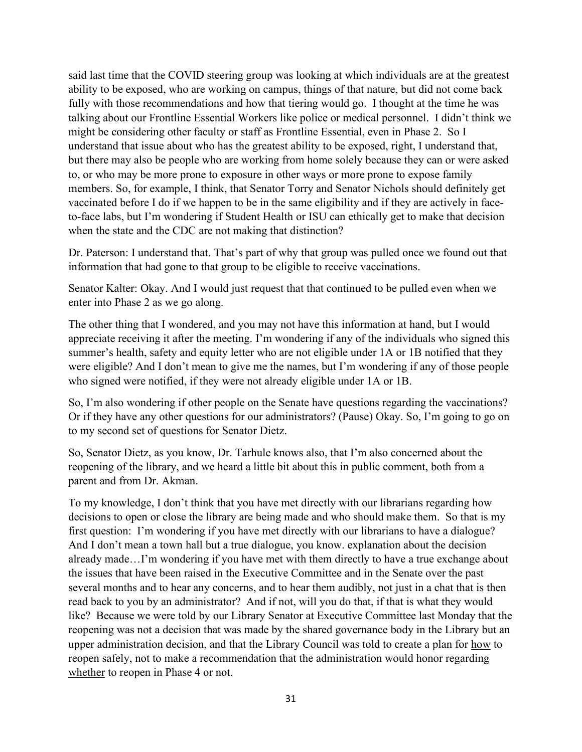said last time that the COVID steering group was looking at which individuals are at the greatest ability to be exposed, who are working on campus, things of that nature, but did not come back fully with those recommendations and how that tiering would go. I thought at the time he was talking about our Frontline Essential Workers like police or medical personnel. I didn't think we might be considering other faculty or staff as Frontline Essential, even in Phase 2. So I understand that issue about who has the greatest ability to be exposed, right, I understand that, but there may also be people who are working from home solely because they can or were asked to, or who may be more prone to exposure in other ways or more prone to expose family members. So, for example, I think, that Senator Torry and Senator Nichols should definitely get vaccinated before I do if we happen to be in the same eligibility and if they are actively in faceto-face labs, but I'm wondering if Student Health or ISU can ethically get to make that decision when the state and the CDC are not making that distinction?

Dr. Paterson: I understand that. That's part of why that group was pulled once we found out that information that had gone to that group to be eligible to receive vaccinations.

Senator Kalter: Okay. And I would just request that that continued to be pulled even when we enter into Phase 2 as we go along.

The other thing that I wondered, and you may not have this information at hand, but I would appreciate receiving it after the meeting. I'm wondering if any of the individuals who signed this summer's health, safety and equity letter who are not eligible under 1A or 1B notified that they were eligible? And I don't mean to give me the names, but I'm wondering if any of those people who signed were notified, if they were not already eligible under 1A or 1B.

So, I'm also wondering if other people on the Senate have questions regarding the vaccinations? Or if they have any other questions for our administrators? (Pause) Okay. So, I'm going to go on to my second set of questions for Senator Dietz.

So, Senator Dietz, as you know, Dr. Tarhule knows also, that I'm also concerned about the reopening of the library, and we heard a little bit about this in public comment, both from a parent and from Dr. Akman.

To my knowledge, I don't think that you have met directly with our librarians regarding how decisions to open or close the library are being made and who should make them. So that is my first question: I'm wondering if you have met directly with our librarians to have a dialogue? And I don't mean a town hall but a true dialogue, you know. explanation about the decision already made…I'm wondering if you have met with them directly to have a true exchange about the issues that have been raised in the Executive Committee and in the Senate over the past several months and to hear any concerns, and to hear them audibly, not just in a chat that is then read back to you by an administrator? And if not, will you do that, if that is what they would like? Because we were told by our Library Senator at Executive Committee last Monday that the reopening was not a decision that was made by the shared governance body in the Library but an upper administration decision, and that the Library Council was told to create a plan for how to reopen safely, not to make a recommendation that the administration would honor regarding whether to reopen in Phase 4 or not.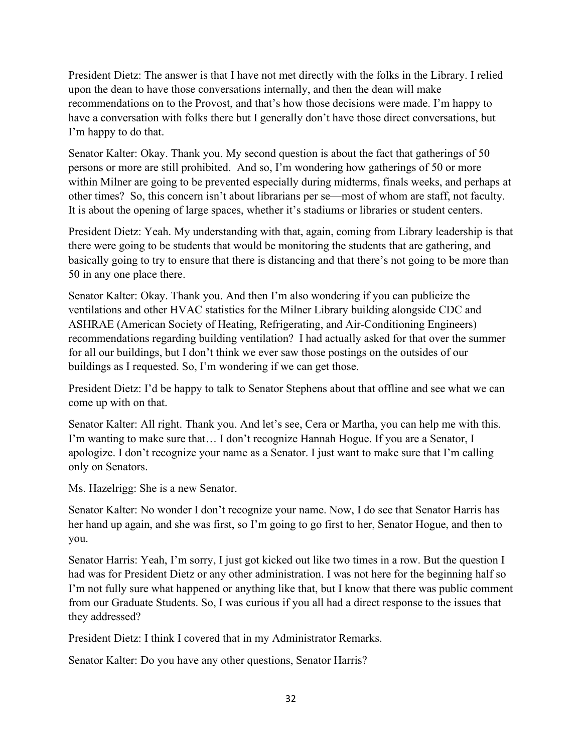President Dietz: The answer is that I have not met directly with the folks in the Library. I relied upon the dean to have those conversations internally, and then the dean will make recommendations on to the Provost, and that's how those decisions were made. I'm happy to have a conversation with folks there but I generally don't have those direct conversations, but I'm happy to do that.

Senator Kalter: Okay. Thank you. My second question is about the fact that gatherings of 50 persons or more are still prohibited. And so, I'm wondering how gatherings of 50 or more within Milner are going to be prevented especially during midterms, finals weeks, and perhaps at other times? So, this concern isn't about librarians per se—most of whom are staff, not faculty. It is about the opening of large spaces, whether it's stadiums or libraries or student centers.

President Dietz: Yeah. My understanding with that, again, coming from Library leadership is that there were going to be students that would be monitoring the students that are gathering, and basically going to try to ensure that there is distancing and that there's not going to be more than 50 in any one place there.

Senator Kalter: Okay. Thank you. And then I'm also wondering if you can publicize the ventilations and other HVAC statistics for the Milner Library building alongside CDC and ASHRAE (American Society of Heating, Refrigerating, and Air-Conditioning Engineers) recommendations regarding building ventilation? I had actually asked for that over the summer for all our buildings, but I don't think we ever saw those postings on the outsides of our buildings as I requested. So, I'm wondering if we can get those.

President Dietz: I'd be happy to talk to Senator Stephens about that offline and see what we can come up with on that.

Senator Kalter: All right. Thank you. And let's see, Cera or Martha, you can help me with this. I'm wanting to make sure that… I don't recognize Hannah Hogue. If you are a Senator, I apologize. I don't recognize your name as a Senator. I just want to make sure that I'm calling only on Senators.

Ms. Hazelrigg: She is a new Senator.

Senator Kalter: No wonder I don't recognize your name. Now, I do see that Senator Harris has her hand up again, and she was first, so I'm going to go first to her, Senator Hogue, and then to you.

Senator Harris: Yeah, I'm sorry, I just got kicked out like two times in a row. But the question I had was for President Dietz or any other administration. I was not here for the beginning half so I'm not fully sure what happened or anything like that, but I know that there was public comment from our Graduate Students. So, I was curious if you all had a direct response to the issues that they addressed?

President Dietz: I think I covered that in my Administrator Remarks.

Senator Kalter: Do you have any other questions, Senator Harris?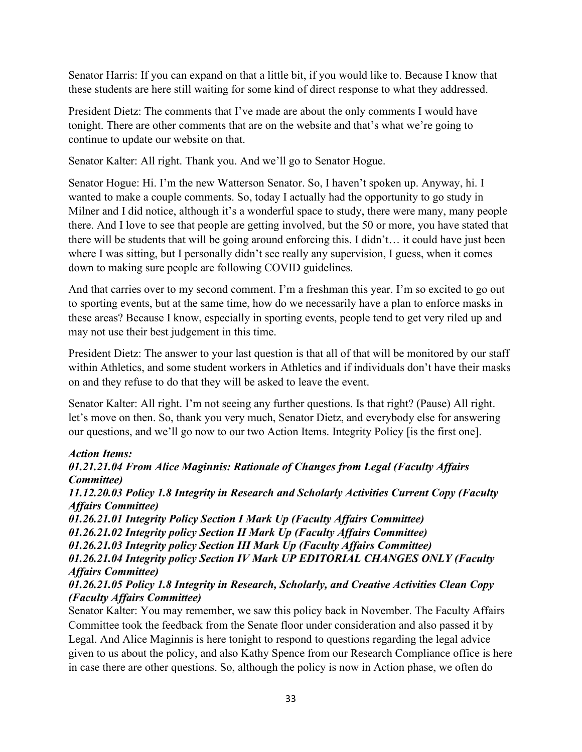Senator Harris: If you can expand on that a little bit, if you would like to. Because I know that these students are here still waiting for some kind of direct response to what they addressed.

President Dietz: The comments that I've made are about the only comments I would have tonight. There are other comments that are on the website and that's what we're going to continue to update our website on that.

Senator Kalter: All right. Thank you. And we'll go to Senator Hogue.

Senator Hogue: Hi. I'm the new Watterson Senator. So, I haven't spoken up. Anyway, hi. I wanted to make a couple comments. So, today I actually had the opportunity to go study in Milner and I did notice, although it's a wonderful space to study, there were many, many people there. And I love to see that people are getting involved, but the 50 or more, you have stated that there will be students that will be going around enforcing this. I didn't… it could have just been where I was sitting, but I personally didn't see really any supervision, I guess, when it comes down to making sure people are following COVID guidelines.

And that carries over to my second comment. I'm a freshman this year. I'm so excited to go out to sporting events, but at the same time, how do we necessarily have a plan to enforce masks in these areas? Because I know, especially in sporting events, people tend to get very riled up and may not use their best judgement in this time.

President Dietz: The answer to your last question is that all of that will be monitored by our staff within Athletics, and some student workers in Athletics and if individuals don't have their masks on and they refuse to do that they will be asked to leave the event.

Senator Kalter: All right. I'm not seeing any further questions. Is that right? (Pause) All right. let's move on then. So, thank you very much, Senator Dietz, and everybody else for answering our questions, and we'll go now to our two Action Items. Integrity Policy [is the first one].

## *Action Items:*

## *01.21.21.04 From Alice Maginnis: Rationale of Changes from Legal (Faculty Affairs Committee)*

*11.12.20.03 Policy 1.8 Integrity in Research and Scholarly Activities Current Copy (Faculty Affairs Committee)*

*01.26.21.01 Integrity Policy Section I Mark Up (Faculty Affairs Committee) 01.26.21.02 Integrity policy Section II Mark Up (Faculty Affairs Committee) 01.26.21.03 Integrity policy Section III Mark Up (Faculty Affairs Committee) 01.26.21.04 Integrity policy Section IV Mark UP EDITORIAL CHANGES ONLY (Faculty Affairs Committee) 01.26.21.05 Policy 1.8 Integrity in Research, Scholarly, and Creative Activities Clean Copy*

#### *(Faculty Affairs Committee)*

Senator Kalter: You may remember, we saw this policy back in November. The Faculty Affairs Committee took the feedback from the Senate floor under consideration and also passed it by Legal. And Alice Maginnis is here tonight to respond to questions regarding the legal advice given to us about the policy, and also Kathy Spence from our Research Compliance office is here in case there are other questions. So, although the policy is now in Action phase, we often do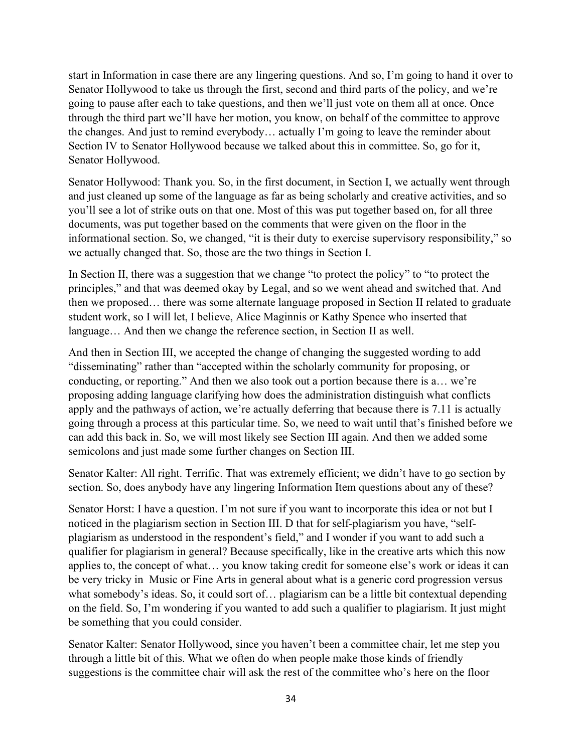start in Information in case there are any lingering questions. And so, I'm going to hand it over to Senator Hollywood to take us through the first, second and third parts of the policy, and we're going to pause after each to take questions, and then we'll just vote on them all at once. Once through the third part we'll have her motion, you know, on behalf of the committee to approve the changes. And just to remind everybody… actually I'm going to leave the reminder about Section IV to Senator Hollywood because we talked about this in committee. So, go for it, Senator Hollywood.

Senator Hollywood: Thank you. So, in the first document, in Section I, we actually went through and just cleaned up some of the language as far as being scholarly and creative activities, and so you'll see a lot of strike outs on that one. Most of this was put together based on, for all three documents, was put together based on the comments that were given on the floor in the informational section. So, we changed, "it is their duty to exercise supervisory responsibility," so we actually changed that. So, those are the two things in Section I.

In Section II, there was a suggestion that we change "to protect the policy" to "to protect the principles," and that was deemed okay by Legal, and so we went ahead and switched that. And then we proposed… there was some alternate language proposed in Section II related to graduate student work, so I will let, I believe, Alice Maginnis or Kathy Spence who inserted that language… And then we change the reference section, in Section II as well.

And then in Section III, we accepted the change of changing the suggested wording to add "disseminating" rather than "accepted within the scholarly community for proposing, or conducting, or reporting." And then we also took out a portion because there is a… we're proposing adding language clarifying how does the administration distinguish what conflicts apply and the pathways of action, we're actually deferring that because there is 7.11 is actually going through a process at this particular time. So, we need to wait until that's finished before we can add this back in. So, we will most likely see Section III again. And then we added some semicolons and just made some further changes on Section III.

Senator Kalter: All right. Terrific. That was extremely efficient; we didn't have to go section by section. So, does anybody have any lingering Information Item questions about any of these?

Senator Horst: I have a question. I'm not sure if you want to incorporate this idea or not but I noticed in the plagiarism section in Section III. D that for self-plagiarism you have, "selfplagiarism as understood in the respondent's field," and I wonder if you want to add such a qualifier for plagiarism in general? Because specifically, like in the creative arts which this now applies to, the concept of what… you know taking credit for someone else's work or ideas it can be very tricky in Music or Fine Arts in general about what is a generic cord progression versus what somebody's ideas. So, it could sort of… plagiarism can be a little bit contextual depending on the field. So, I'm wondering if you wanted to add such a qualifier to plagiarism. It just might be something that you could consider.

Senator Kalter: Senator Hollywood, since you haven't been a committee chair, let me step you through a little bit of this. What we often do when people make those kinds of friendly suggestions is the committee chair will ask the rest of the committee who's here on the floor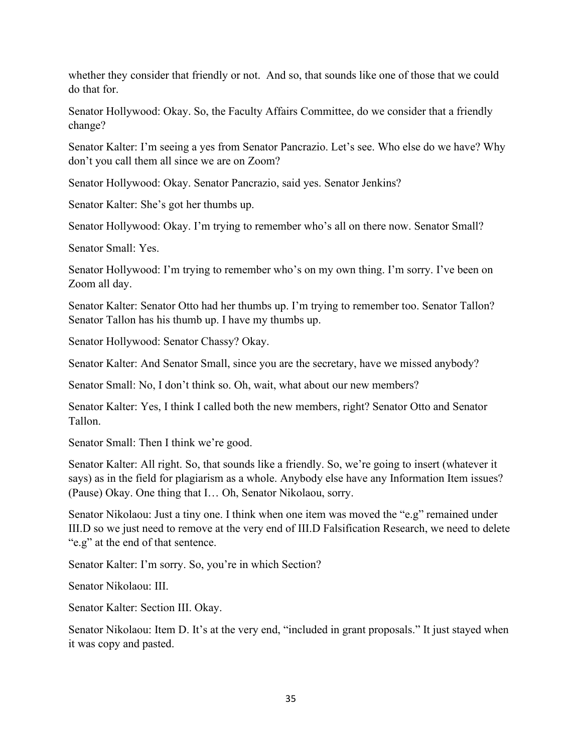whether they consider that friendly or not. And so, that sounds like one of those that we could do that for.

Senator Hollywood: Okay. So, the Faculty Affairs Committee, do we consider that a friendly change?

Senator Kalter: I'm seeing a yes from Senator Pancrazio. Let's see. Who else do we have? Why don't you call them all since we are on Zoom?

Senator Hollywood: Okay. Senator Pancrazio, said yes. Senator Jenkins?

Senator Kalter: She's got her thumbs up.

Senator Hollywood: Okay. I'm trying to remember who's all on there now. Senator Small?

Senator Small: Yes.

Senator Hollywood: I'm trying to remember who's on my own thing. I'm sorry. I've been on Zoom all day.

Senator Kalter: Senator Otto had her thumbs up. I'm trying to remember too. Senator Tallon? Senator Tallon has his thumb up. I have my thumbs up.

Senator Hollywood: Senator Chassy? Okay.

Senator Kalter: And Senator Small, since you are the secretary, have we missed anybody?

Senator Small: No, I don't think so. Oh, wait, what about our new members?

Senator Kalter: Yes, I think I called both the new members, right? Senator Otto and Senator Tallon.

Senator Small: Then I think we're good.

Senator Kalter: All right. So, that sounds like a friendly. So, we're going to insert (whatever it says) as in the field for plagiarism as a whole. Anybody else have any Information Item issues? (Pause) Okay. One thing that I… Oh, Senator Nikolaou, sorry.

Senator Nikolaou: Just a tiny one. I think when one item was moved the "e.g" remained under III.D so we just need to remove at the very end of III.D Falsification Research, we need to delete "e.g" at the end of that sentence.

Senator Kalter: I'm sorry. So, you're in which Section?

Senator Nikolaou: III.

Senator Kalter: Section III. Okay.

Senator Nikolaou: Item D. It's at the very end, "included in grant proposals." It just stayed when it was copy and pasted.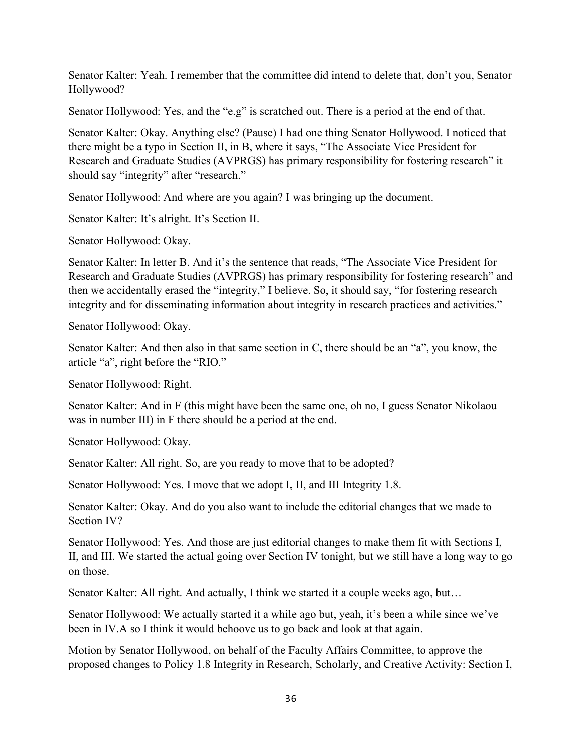Senator Kalter: Yeah. I remember that the committee did intend to delete that, don't you, Senator Hollywood?

Senator Hollywood: Yes, and the "e.g" is scratched out. There is a period at the end of that.

Senator Kalter: Okay. Anything else? (Pause) I had one thing Senator Hollywood. I noticed that there might be a typo in Section II, in B, where it says, "The Associate Vice President for Research and Graduate Studies (AVPRGS) has primary responsibility for fostering research" it should say "integrity" after "research."

Senator Hollywood: And where are you again? I was bringing up the document.

Senator Kalter: It's alright. It's Section II.

Senator Hollywood: Okay.

Senator Kalter: In letter B. And it's the sentence that reads, "The Associate Vice President for Research and Graduate Studies (AVPRGS) has primary responsibility for fostering research" and then we accidentally erased the "integrity," I believe. So, it should say, "for fostering research integrity and for disseminating information about integrity in research practices and activities."

Senator Hollywood: Okay.

Senator Kalter: And then also in that same section in C, there should be an "a", you know, the article "a", right before the "RIO."

Senator Hollywood: Right.

Senator Kalter: And in F (this might have been the same one, oh no, I guess Senator Nikolaou was in number III) in F there should be a period at the end.

Senator Hollywood: Okay.

Senator Kalter: All right. So, are you ready to move that to be adopted?

Senator Hollywood: Yes. I move that we adopt I, II, and III Integrity 1.8.

Senator Kalter: Okay. And do you also want to include the editorial changes that we made to Section IV?

Senator Hollywood: Yes. And those are just editorial changes to make them fit with Sections I, II, and III. We started the actual going over Section IV tonight, but we still have a long way to go on those.

Senator Kalter: All right. And actually, I think we started it a couple weeks ago, but...

Senator Hollywood: We actually started it a while ago but, yeah, it's been a while since we've been in IV.A so I think it would behoove us to go back and look at that again.

Motion by Senator Hollywood, on behalf of the Faculty Affairs Committee, to approve the proposed changes to Policy 1.8 Integrity in Research, Scholarly, and Creative Activity: Section I,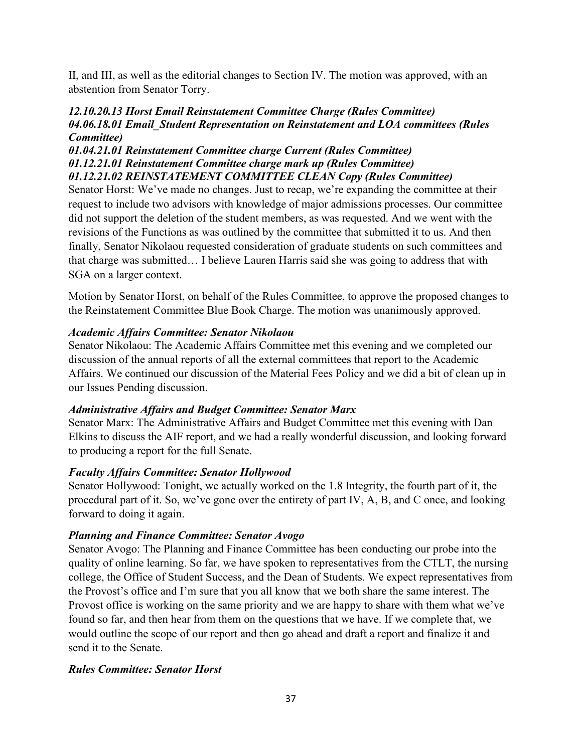II, and III, as well as the editorial changes to Section IV. The motion was approved, with an abstention from Senator Torry.

#### *12.10.20.13 Horst Email Reinstatement Committee Charge (Rules Committee) 04.06.18.01 Email\_Student Representation on Reinstatement and LOA committees (Rules Committee)*

## *01.04.21.01 Reinstatement Committee charge Current (Rules Committee) 01.12.21.01 Reinstatement Committee charge mark up (Rules Committee) 01.12.21.02 REINSTATEMENT COMMITTEE CLEAN Copy (Rules Committee)*

Senator Horst: We've made no changes. Just to recap, we're expanding the committee at their request to include two advisors with knowledge of major admissions processes. Our committee did not support the deletion of the student members, as was requested. And we went with the revisions of the Functions as was outlined by the committee that submitted it to us. And then finally, Senator Nikolaou requested consideration of graduate students on such committees and that charge was submitted… I believe Lauren Harris said she was going to address that with SGA on a larger context.

Motion by Senator Horst, on behalf of the Rules Committee, to approve the proposed changes to the Reinstatement Committee Blue Book Charge. The motion was unanimously approved.

## *Academic Affairs Committee: Senator Nikolaou*

Senator Nikolaou: The Academic Affairs Committee met this evening and we completed our discussion of the annual reports of all the external committees that report to the Academic Affairs. We continued our discussion of the Material Fees Policy and we did a bit of clean up in our Issues Pending discussion.

## *Administrative Affairs and Budget Committee: Senator Marx*

Senator Marx: The Administrative Affairs and Budget Committee met this evening with Dan Elkins to discuss the AIF report, and we had a really wonderful discussion, and looking forward to producing a report for the full Senate.

## *Faculty Affairs Committee: Senator Hollywood*

Senator Hollywood: Tonight, we actually worked on the 1.8 Integrity, the fourth part of it, the procedural part of it. So, we've gone over the entirety of part IV, A, B, and C once, and looking forward to doing it again.

## *Planning and Finance Committee: Senator Avogo*

Senator Avogo: The Planning and Finance Committee has been conducting our probe into the quality of online learning. So far, we have spoken to representatives from the CTLT, the nursing college, the Office of Student Success, and the Dean of Students. We expect representatives from the Provost's office and I'm sure that you all know that we both share the same interest. The Provost office is working on the same priority and we are happy to share with them what we've found so far, and then hear from them on the questions that we have. If we complete that, we would outline the scope of our report and then go ahead and draft a report and finalize it and send it to the Senate.

## *Rules Committee: Senator Horst*